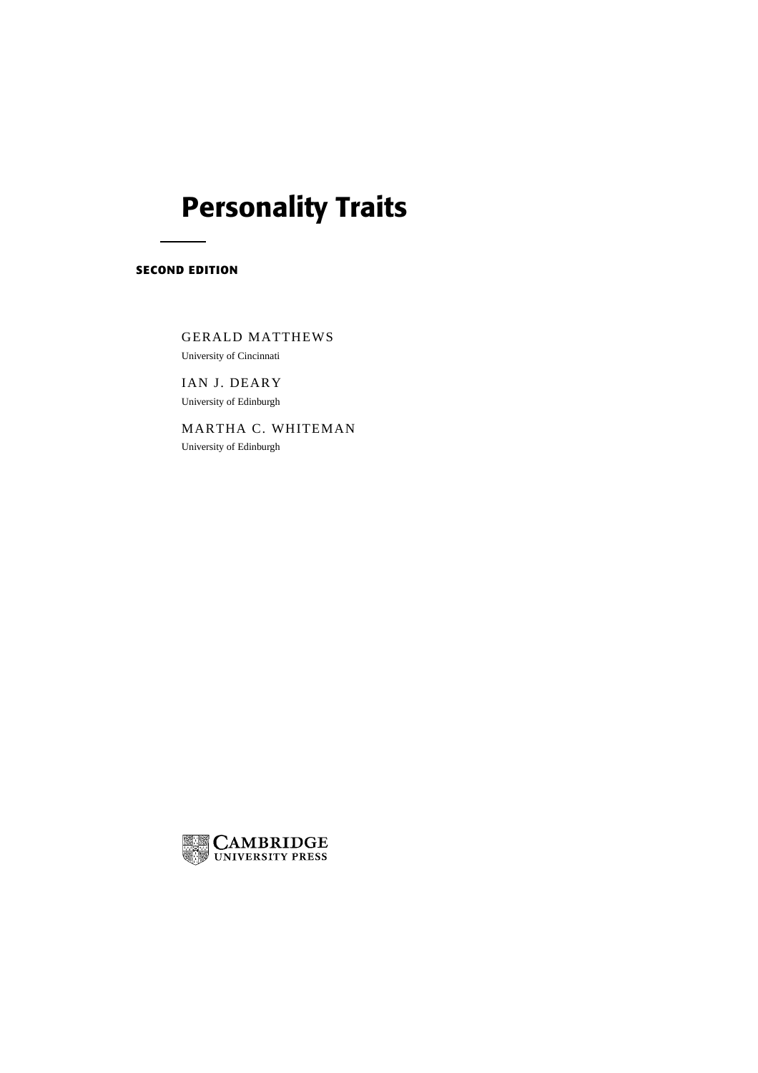# **Personality Traits**

**SECOND EDITION**

GERALD MATTHEWS University of Cincinnati

IAN J. DEARY University of Edinburgh

MARTHA C. WHITEMAN University of Edinburgh

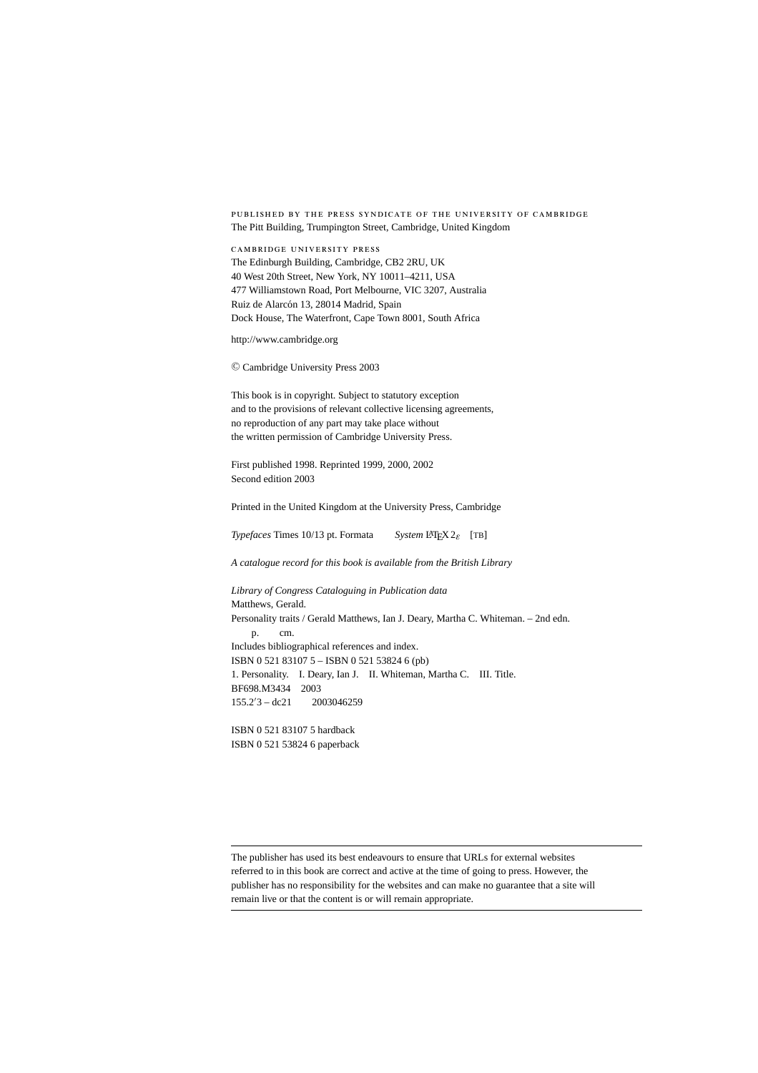published by the press syndicate of the university of cambridge The Pitt Building, Trumpington Street, Cambridge, United Kingdom

cambridge university press The Edinburgh Building, Cambridge, CB2 2RU, UK 40 West 20th Street, New York, NY 10011–4211, USA 477 Williamstown Road, Port Melbourne, VIC 3207, Australia Ruiz de Alarcón 13, 28014 Madrid, Spain Dock House, The Waterfront, Cape Town 8001, South Africa

http://www.cambridge.org

<sup>C</sup> Cambridge University Press 2003

This book is in copyright. Subject to statutory exception and to the provisions of relevant collective licensing agreements, no reproduction of any part may take place without the written permission of Cambridge University Press.

First published 1998. Reprinted 1999, 2000, 2002 Second edition 2003

Printed in the United Kingdom at the University Press, Cambridge

*Typefaces* Times 10/13 pt. Formata *System* LATEX 2ε [TB]

*A catalogue record for this book is available from the British Library*

*Library of Congress Cataloguing in Publication data* Matthews, Gerald. Personality traits / Gerald Matthews, Ian J. Deary, Martha C. Whiteman. – 2nd edn. p. cm. Includes bibliographical references and index. ISBN 0 521 83107 5 – ISBN 0 521 53824 6 (pb) 1. Personality. I. Deary, Ian J. II. Whiteman, Martha C. III. Title. BF698.M3434 2003 155.2- 2003046259

ISBN 0 521 83107 5 hardback ISBN 0 521 53824 6 paperback

The publisher has used its best endeavours to ensure that URLs for external websites referred to in this book are correct and active at the time of going to press. However, the publisher has no responsibility for the websites and can make no guarantee that a site will remain live or that the content is or will remain appropriate.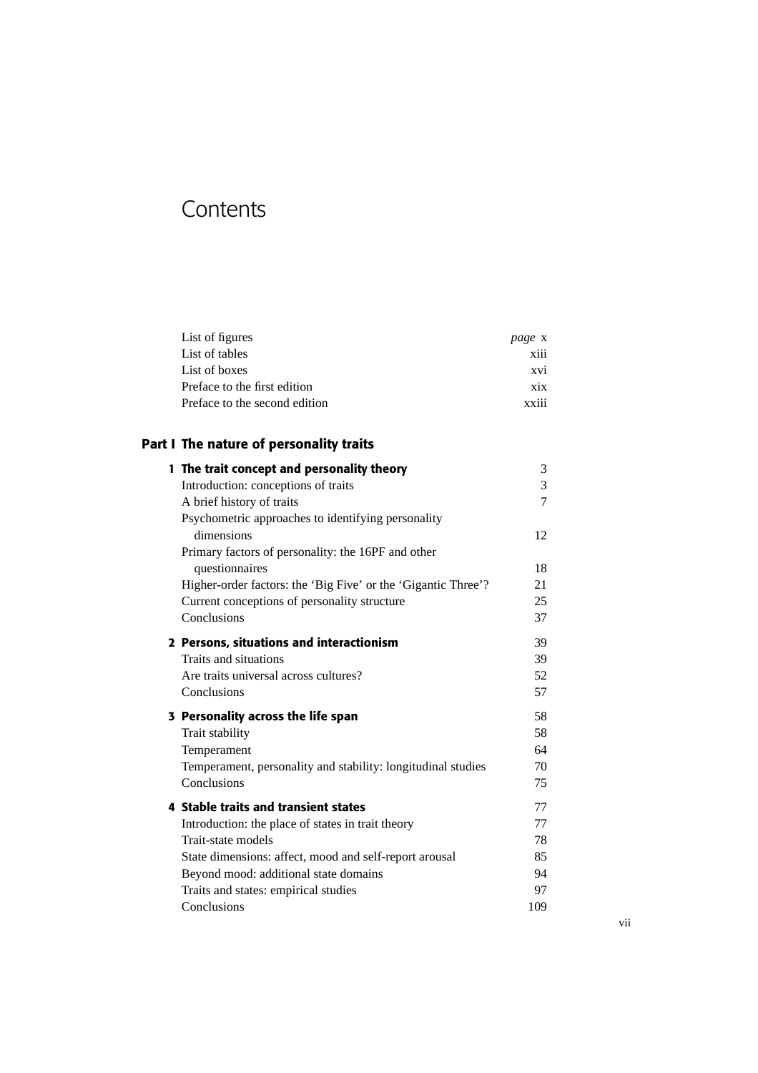### **Contents**

| List of figures               | page x       |
|-------------------------------|--------------|
| List of tables                | X111         |
| List of boxes                 | xvi          |
| Preface to the first edition  | xix          |
| Preface to the second edition | <b>XX111</b> |

### **Part I The nature of personality traits**

| 1 The trait concept and personality theory                    | 3              |
|---------------------------------------------------------------|----------------|
| Introduction: conceptions of traits                           | 3              |
| A brief history of traits                                     | $\overline{7}$ |
| Psychometric approaches to identifying personality            |                |
| dimensions                                                    | 12             |
| Primary factors of personality: the 16PF and other            |                |
| questionnaires                                                | 18             |
| Higher-order factors: the 'Big Five' or the 'Gigantic Three'? | 21             |
| Current conceptions of personality structure                  | 25             |
| Conclusions                                                   | 37             |
| 2 Persons, situations and interactionism                      | 39             |
| Traits and situations                                         | 39             |
| Are traits universal across cultures?                         | 52             |
| Conclusions                                                   | 57             |
| 3 Personality across the life span                            | 58             |
| Trait stability                                               | 58             |
| Temperament                                                   | 64             |
| Temperament, personality and stability: longitudinal studies  | 70             |
| Conclusions                                                   | 75             |
| 4 Stable traits and transient states                          | 77             |
| Introduction: the place of states in trait theory             | 77             |
| Trait-state models                                            | 78             |
| State dimensions: affect, mood and self-report arousal        | 85             |
| Beyond mood: additional state domains                         | 94             |
| Traits and states: empirical studies                          | 97             |
| Conclusions                                                   | 109            |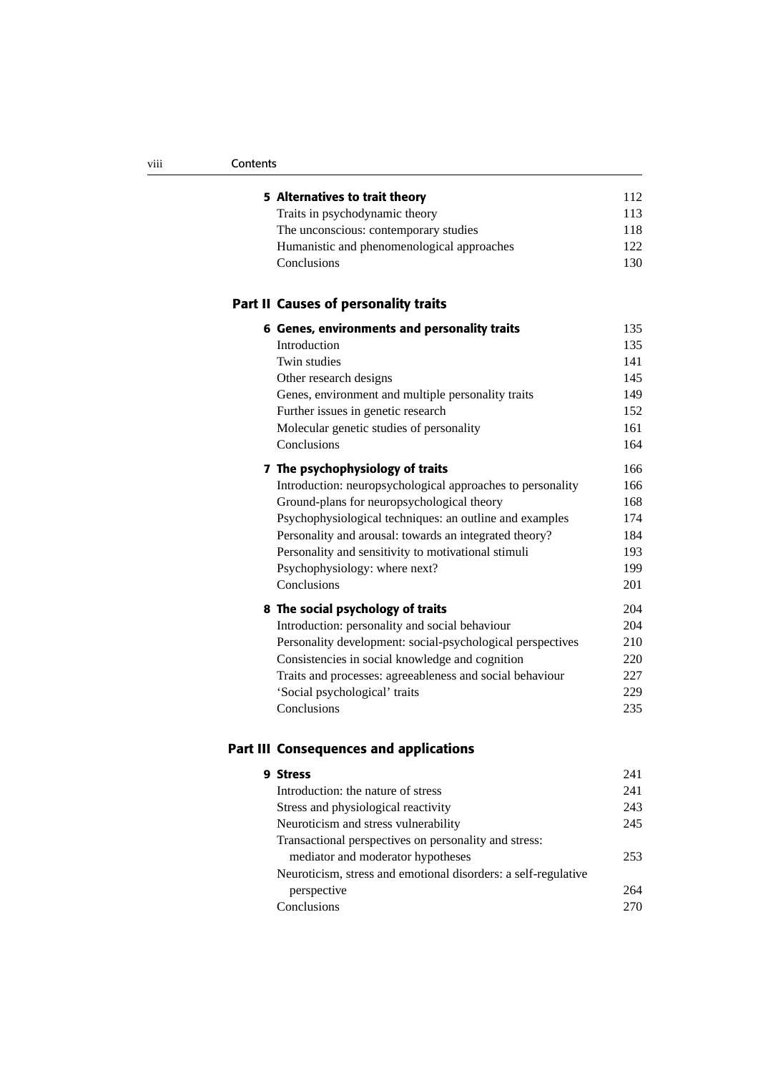| 5 Alternatives to trait theory                             | 112 |
|------------------------------------------------------------|-----|
| Traits in psychodynamic theory                             | 113 |
| The unconscious: contemporary studies                      | 118 |
| Humanistic and phenomenological approaches                 | 122 |
| Conclusions                                                | 130 |
| <b>Part II Causes of personality traits</b>                |     |
| 6 Genes, environments and personality traits               | 135 |
| Introduction                                               | 135 |
| Twin studies                                               | 141 |
| Other research designs                                     | 145 |
| Genes, environment and multiple personality traits         | 149 |
| Further issues in genetic research                         | 152 |
| Molecular genetic studies of personality                   | 161 |
| Conclusions                                                | 164 |
| 7 The psychophysiology of traits                           | 166 |
| Introduction: neuropsychological approaches to personality | 166 |
| Ground-plans for neuropsychological theory                 | 168 |
| Psychophysiological techniques: an outline and examples    | 174 |
| Personality and arousal: towards an integrated theory?     | 184 |
| Personality and sensitivity to motivational stimuli        | 193 |
| Psychophysiology: where next?                              | 199 |
| Conclusions                                                | 201 |
| 8 The social psychology of traits                          | 204 |
| Introduction: personality and social behaviour             | 204 |
| Personality development: social-psychological perspectives | 210 |
| Consistencies in social knowledge and cognition            | 220 |
| Traits and processes: agreeableness and social behaviour   | 227 |
| 'Social psychological' traits                              | 229 |
| Conclusions                                                | 235 |
| <b>Part III Consequences and applications</b>              |     |
| 9 Stress                                                   | 241 |
| Introduction: the nature of stress                         | 241 |
| Stress and physiological reactivity                        | 243 |
| Neuroticism and stress vulnerability                       | 245 |

Transactional perspectives on personality and stress:

Neuroticism, stress and emotional disorders: a self-regulative

mediator and moderator hypotheses 253

perspective 264 Conclusions 270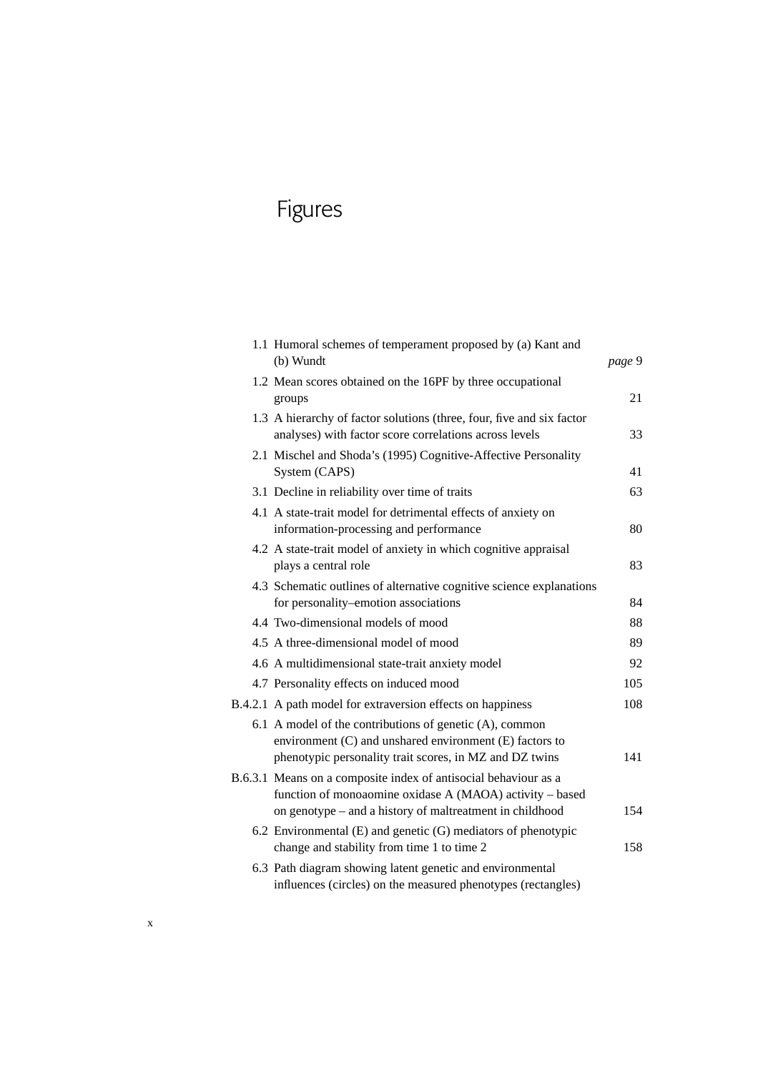# Figures

| 1.1 Humoral schemes of temperament proposed by (a) Kant and                                                                                                                             |        |
|-----------------------------------------------------------------------------------------------------------------------------------------------------------------------------------------|--------|
| (b) Wundt                                                                                                                                                                               | page 9 |
| 1.2 Mean scores obtained on the 16PF by three occupational<br>groups                                                                                                                    | 21     |
| 1.3 A hierarchy of factor solutions (three, four, five and six factor<br>analyses) with factor score correlations across levels                                                         | 33     |
| 2.1 Mischel and Shoda's (1995) Cognitive-Affective Personality<br>System (CAPS)                                                                                                         | 41     |
| 3.1 Decline in reliability over time of traits                                                                                                                                          | 63     |
| 4.1 A state-trait model for detrimental effects of anxiety on<br>information-processing and performance                                                                                 | 80     |
| 4.2 A state-trait model of anxiety in which cognitive appraisal<br>plays a central role                                                                                                 | 83     |
| 4.3 Schematic outlines of alternative cognitive science explanations<br>for personality-emotion associations                                                                            | 84     |
| 4.4 Two-dimensional models of mood                                                                                                                                                      | 88     |
| 4.5 A three-dimensional model of mood                                                                                                                                                   | 89     |
| 4.6 A multidimensional state-trait anxiety model                                                                                                                                        | 92     |
| 4.7 Personality effects on induced mood                                                                                                                                                 | 105    |
| B.4.2.1 A path model for extraversion effects on happiness                                                                                                                              | 108    |
| 6.1 A model of the contributions of genetic (A), common<br>environment (C) and unshared environment (E) factors to<br>phenotypic personality trait scores, in MZ and DZ twins           | 141    |
| B.6.3.1 Means on a composite index of antisocial behaviour as a<br>function of monoaomine oxidase A (MAOA) activity - based<br>on genotype – and a history of maltreatment in childhood | 154    |
| 6.2 Environmental $(E)$ and genetic $(G)$ mediators of phenotypic<br>change and stability from time 1 to time 2                                                                         | 158    |
| 6.3 Path diagram showing latent genetic and environmental<br>influences (circles) on the measured phenotypes (rectangles)                                                               |        |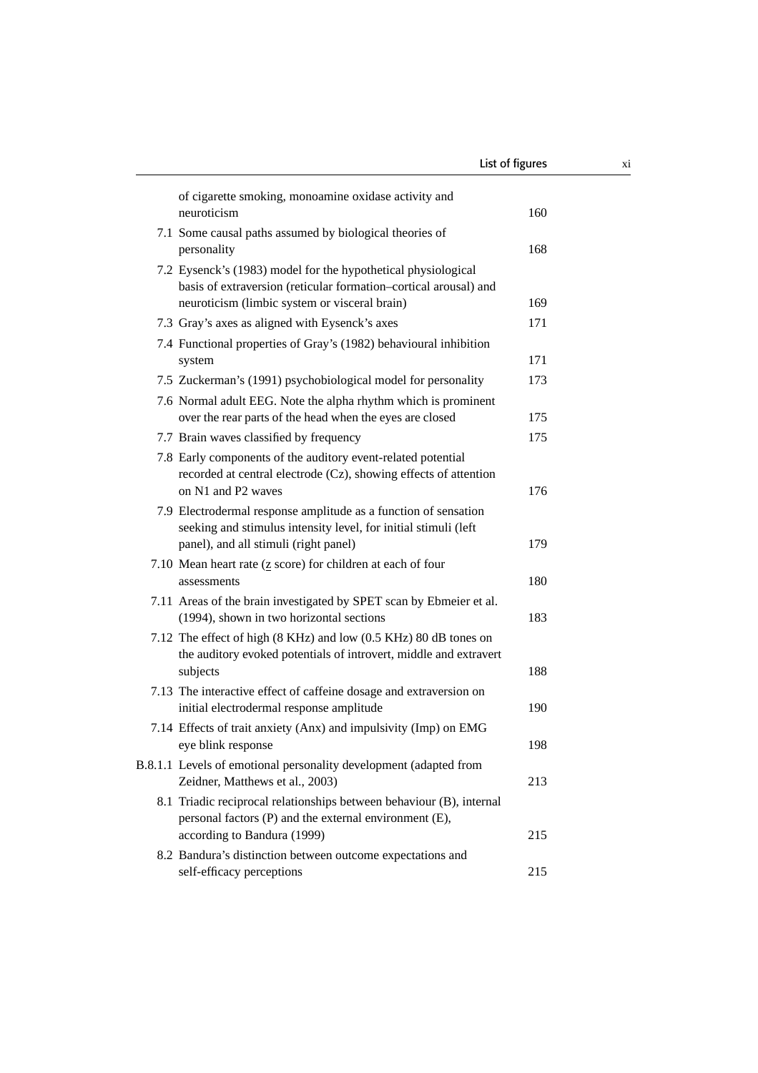|                                                                                                                                                                             | List of figures | xi |
|-----------------------------------------------------------------------------------------------------------------------------------------------------------------------------|-----------------|----|
| of cigarette smoking, monoamine oxidase activity and<br>neuroticism                                                                                                         | 160             |    |
| 7.1 Some causal paths assumed by biological theories of<br>personality                                                                                                      | 168             |    |
| 7.2 Eysenck's (1983) model for the hypothetical physiological<br>basis of extraversion (reticular formation-cortical arousal) and                                           |                 |    |
| neuroticism (limbic system or visceral brain)                                                                                                                               | 169             |    |
| 7.3 Gray's axes as aligned with Eysenck's axes                                                                                                                              | 171             |    |
| 7.4 Functional properties of Gray's (1982) behavioural inhibition<br>system                                                                                                 | 171             |    |
| 7.5 Zuckerman's (1991) psychobiological model for personality                                                                                                               | 173             |    |
| 7.6 Normal adult EEG. Note the alpha rhythm which is prominent<br>over the rear parts of the head when the eyes are closed                                                  | 175             |    |
| 7.7 Brain waves classified by frequency                                                                                                                                     | 175             |    |
| 7.8 Early components of the auditory event-related potential<br>recorded at central electrode (Cz), showing effects of attention<br>on N1 and P2 waves                      | 176             |    |
| 7.9 Electrodermal response amplitude as a function of sensation<br>seeking and stimulus intensity level, for initial stimuli (left<br>panel), and all stimuli (right panel) | 179             |    |
| 7.10 Mean heart rate $(z \text{ score})$ for children at each of four                                                                                                       |                 |    |
| assessments                                                                                                                                                                 | 180             |    |
| 7.11 Areas of the brain investigated by SPET scan by Ebmeier et al.<br>(1994), shown in two horizontal sections                                                             | 183             |    |
| 7.12 The effect of high (8 KHz) and low (0.5 KHz) 80 dB tones on<br>the auditory evoked potentials of introvert, middle and extravert<br>subjects                           | 188             |    |
| 7.13 The interactive effect of caffeine dosage and extraversion on<br>initial electrodermal response amplitude                                                              | 190             |    |
| 7.14 Effects of trait anxiety (Anx) and impulsivity (Imp) on EMG<br>eye blink response                                                                                      | 198             |    |
| B.8.1.1 Levels of emotional personality development (adapted from<br>Zeidner, Matthews et al., 2003)                                                                        | 213             |    |
| 8.1 Triadic reciprocal relationships between behaviour (B), internal<br>personal factors (P) and the external environment (E),<br>according to Bandura (1999)               | 215             |    |
| 8.2 Bandura's distinction between outcome expectations and<br>self-efficacy perceptions                                                                                     | 215             |    |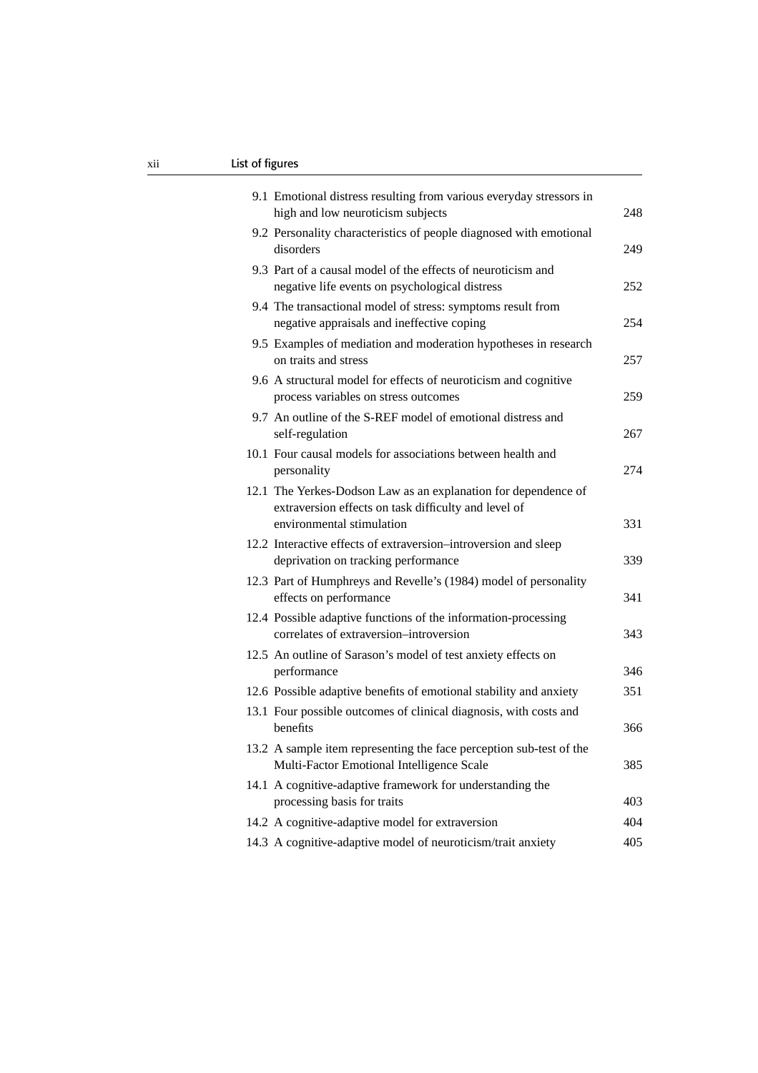| 9.1 Emotional distress resulting from various everyday stressors in<br>high and low neuroticism subjects                                            | 248 |
|-----------------------------------------------------------------------------------------------------------------------------------------------------|-----|
| 9.2 Personality characteristics of people diagnosed with emotional<br>disorders                                                                     | 249 |
| 9.3 Part of a causal model of the effects of neuroticism and<br>negative life events on psychological distress                                      | 252 |
| 9.4 The transactional model of stress: symptoms result from<br>negative appraisals and ineffective coping                                           | 254 |
| 9.5 Examples of mediation and moderation hypotheses in research<br>on traits and stress                                                             | 257 |
| 9.6 A structural model for effects of neuroticism and cognitive<br>process variables on stress outcomes                                             | 259 |
| 9.7 An outline of the S-REF model of emotional distress and<br>self-regulation                                                                      | 267 |
| 10.1 Four causal models for associations between health and<br>personality                                                                          | 274 |
| 12.1 The Yerkes-Dodson Law as an explanation for dependence of<br>extraversion effects on task difficulty and level of<br>environmental stimulation | 331 |
| 12.2 Interactive effects of extraversion-introversion and sleep<br>deprivation on tracking performance                                              | 339 |
| 12.3 Part of Humphreys and Revelle's (1984) model of personality<br>effects on performance                                                          | 341 |
| 12.4 Possible adaptive functions of the information-processing<br>correlates of extraversion–introversion                                           | 343 |
| 12.5 An outline of Sarason's model of test anxiety effects on<br>performance                                                                        | 346 |
| 12.6 Possible adaptive benefits of emotional stability and anxiety                                                                                  | 351 |
| 13.1 Four possible outcomes of clinical diagnosis, with costs and<br>benefits                                                                       | 366 |
| 13.2 A sample item representing the face perception sub-test of the<br>Multi-Factor Emotional Intelligence Scale                                    | 385 |
| 14.1 A cognitive-adaptive framework for understanding the<br>processing basis for traits                                                            | 403 |
| 14.2 A cognitive-adaptive model for extraversion                                                                                                    | 404 |
| 14.3 A cognitive-adaptive model of neuroticism/trait anxiety                                                                                        | 405 |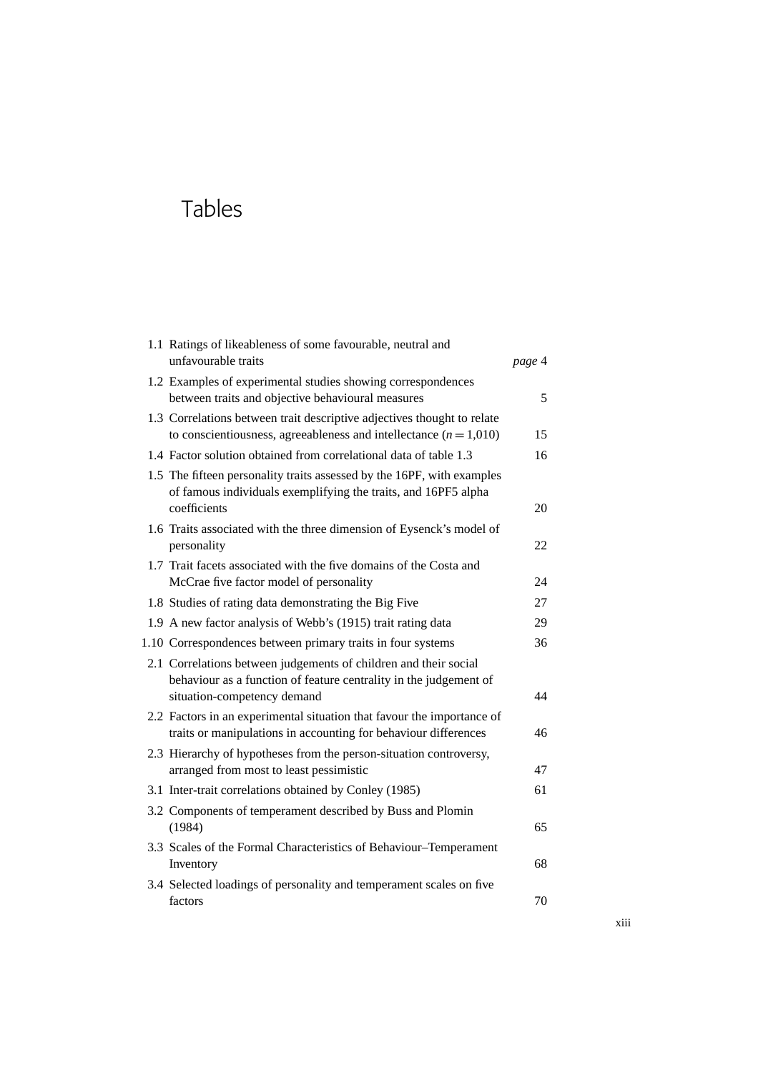## Tables

| 1.1 Ratings of likeableness of some favourable, neutral and<br>unfavourable traits                                                                                   | page 4 |
|----------------------------------------------------------------------------------------------------------------------------------------------------------------------|--------|
| 1.2 Examples of experimental studies showing correspondences<br>between traits and objective behavioural measures                                                    | 5      |
| 1.3 Correlations between trait descriptive adjectives thought to relate<br>to conscientiousness, agreeableness and intellectance $(n = 1,010)$                       | 15     |
| 1.4 Factor solution obtained from correlational data of table 1.3                                                                                                    | 16     |
| 1.5 The fifteen personality traits assessed by the 16PF, with examples<br>of famous individuals exemplifying the traits, and 16PF5 alpha<br>coefficients             | 20     |
| 1.6 Traits associated with the three dimension of Eysenck's model of<br>personality                                                                                  | 22     |
| 1.7 Trait facets associated with the five domains of the Costa and<br>McCrae five factor model of personality                                                        | 24     |
| 1.8 Studies of rating data demonstrating the Big Five                                                                                                                | 27     |
| 1.9 A new factor analysis of Webb's (1915) trait rating data                                                                                                         | 29     |
| 1.10 Correspondences between primary traits in four systems                                                                                                          | 36     |
| 2.1 Correlations between judgements of children and their social<br>behaviour as a function of feature centrality in the judgement of<br>situation-competency demand | 44     |
| 2.2 Factors in an experimental situation that favour the importance of<br>traits or manipulations in accounting for behaviour differences                            | 46     |
| 2.3 Hierarchy of hypotheses from the person-situation controversy,<br>arranged from most to least pessimistic                                                        | 47     |
| 3.1 Inter-trait correlations obtained by Conley (1985)                                                                                                               | 61     |
| 3.2 Components of temperament described by Buss and Plomin<br>(1984)                                                                                                 | 65     |
| 3.3 Scales of the Formal Characteristics of Behaviour-Temperament<br>Inventory                                                                                       | 68     |
| 3.4 Selected loadings of personality and temperament scales on five<br>factors                                                                                       | 70     |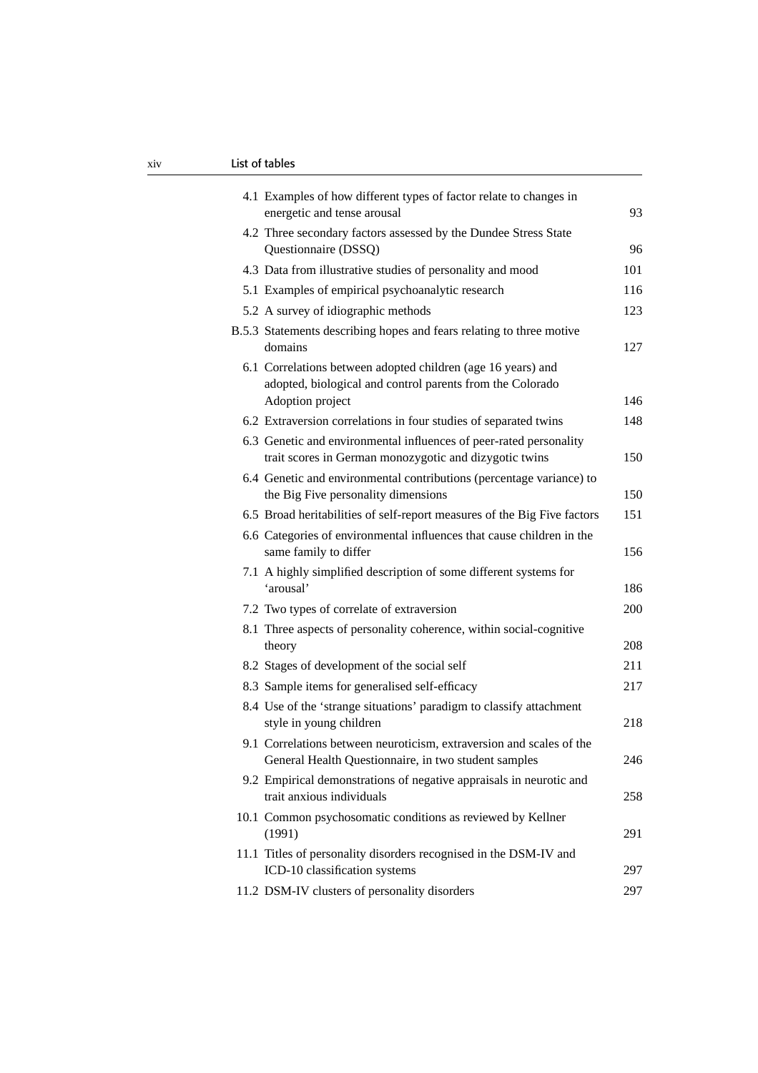| 4.1 Examples of how different types of factor relate to changes in<br>energetic and tense arousal                                             | 93  |
|-----------------------------------------------------------------------------------------------------------------------------------------------|-----|
| 4.2 Three secondary factors assessed by the Dundee Stress State<br>Questionnaire (DSSQ)                                                       | 96  |
| 4.3 Data from illustrative studies of personality and mood                                                                                    | 101 |
| 5.1 Examples of empirical psychoanalytic research                                                                                             | 116 |
| 5.2 A survey of idiographic methods                                                                                                           | 123 |
| B.5.3 Statements describing hopes and fears relating to three motive                                                                          |     |
| domains                                                                                                                                       | 127 |
| 6.1 Correlations between adopted children (age 16 years) and<br>adopted, biological and control parents from the Colorado<br>Adoption project | 146 |
| 6.2 Extraversion correlations in four studies of separated twins                                                                              | 148 |
| 6.3 Genetic and environmental influences of peer-rated personality<br>trait scores in German monozygotic and dizygotic twins                  | 150 |
| 6.4 Genetic and environmental contributions (percentage variance) to<br>the Big Five personality dimensions                                   | 150 |
| 6.5 Broad heritabilities of self-report measures of the Big Five factors                                                                      | 151 |
| 6.6 Categories of environmental influences that cause children in the<br>same family to differ                                                | 156 |
| 7.1 A highly simplified description of some different systems for<br>'arousal'                                                                | 186 |
| 7.2 Two types of correlate of extraversion                                                                                                    | 200 |
| 8.1 Three aspects of personality coherence, within social-cognitive<br>theory                                                                 | 208 |
| 8.2 Stages of development of the social self                                                                                                  | 211 |
| 8.3 Sample items for generalised self-efficacy                                                                                                | 217 |
| 8.4 Use of the 'strange situations' paradigm to classify attachment<br>style in young children                                                | 218 |
| 9.1 Correlations between neuroticism, extraversion and scales of the<br>General Health Questionnaire, in two student samples                  | 246 |
| 9.2 Empirical demonstrations of negative appraisals in neurotic and<br>trait anxious individuals                                              | 258 |
| 10.1 Common psychosomatic conditions as reviewed by Kellner<br>(1991)                                                                         | 291 |
| 11.1 Titles of personality disorders recognised in the DSM-IV and<br>ICD-10 classification systems                                            | 297 |
| 11.2 DSM-IV clusters of personality disorders                                                                                                 | 297 |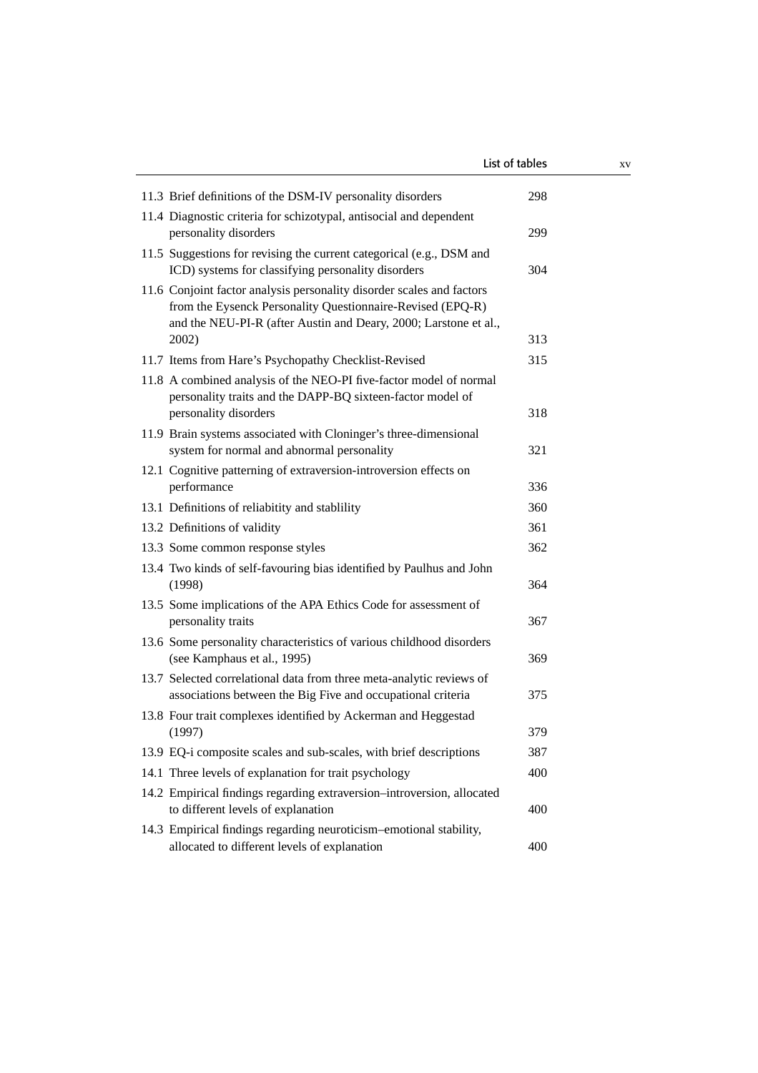|                                                                                                                                                                                                                  | List of tables | XV |
|------------------------------------------------------------------------------------------------------------------------------------------------------------------------------------------------------------------|----------------|----|
| 11.3 Brief definitions of the DSM-IV personality disorders                                                                                                                                                       | 298            |    |
| 11.4 Diagnostic criteria for schizotypal, antisocial and dependent<br>personality disorders                                                                                                                      | 299            |    |
| 11.5 Suggestions for revising the current categorical (e.g., DSM and<br>ICD) systems for classifying personality disorders                                                                                       | 304            |    |
| 11.6 Conjoint factor analysis personality disorder scales and factors<br>from the Eysenck Personality Questionnaire-Revised (EPQ-R)<br>and the NEU-PI-R (after Austin and Deary, 2000; Larstone et al.,<br>2002) | 313            |    |
| 11.7 Items from Hare's Psychopathy Checklist-Revised                                                                                                                                                             | 315            |    |
| 11.8 A combined analysis of the NEO-PI five-factor model of normal<br>personality traits and the DAPP-BQ sixteen-factor model of<br>personality disorders                                                        | 318            |    |
|                                                                                                                                                                                                                  |                |    |
| 11.9 Brain systems associated with Cloninger's three-dimensional<br>system for normal and abnormal personality                                                                                                   | 321            |    |
| 12.1 Cognitive patterning of extraversion-introversion effects on<br>performance                                                                                                                                 | 336            |    |
| 13.1 Definitions of reliabitity and stablility                                                                                                                                                                   | 360            |    |
| 13.2 Definitions of validity                                                                                                                                                                                     | 361            |    |
| 13.3 Some common response styles                                                                                                                                                                                 | 362            |    |
| 13.4 Two kinds of self-favouring bias identified by Paulhus and John<br>(1998)                                                                                                                                   | 364            |    |
| 13.5 Some implications of the APA Ethics Code for assessment of                                                                                                                                                  |                |    |
| personality traits                                                                                                                                                                                               | 367            |    |
| 13.6 Some personality characteristics of various childhood disorders<br>(see Kamphaus et al., 1995)                                                                                                              | 369            |    |
| 13.7 Selected correlational data from three meta-analytic reviews of<br>associations between the Big Five and occupational criteria                                                                              | 375            |    |
| 13.8 Four trait complexes identified by Ackerman and Heggestad<br>(1997)                                                                                                                                         | 379            |    |
| 13.9 EQ-i composite scales and sub-scales, with brief descriptions                                                                                                                                               | 387            |    |
| 14.1 Three levels of explanation for trait psychology                                                                                                                                                            | 400            |    |
| 14.2 Empirical findings regarding extraversion-introversion, allocated                                                                                                                                           |                |    |
| to different levels of explanation                                                                                                                                                                               | 400            |    |
| 14.3 Empirical findings regarding neuroticism–emotional stability,<br>allocated to different levels of explanation                                                                                               | 400            |    |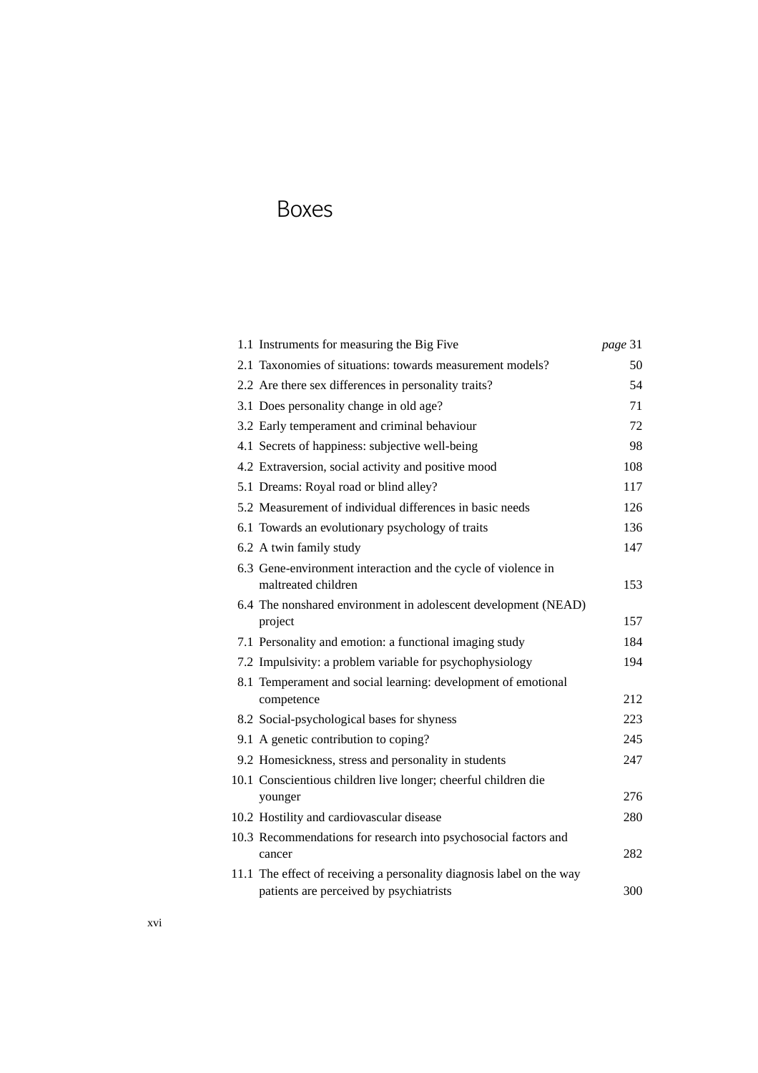### Boxes

| 1.1 Instruments for measuring the Big Five                                           | page 31 |
|--------------------------------------------------------------------------------------|---------|
| 2.1 Taxonomies of situations: towards measurement models?                            | 50      |
| 2.2 Are there sex differences in personality traits?                                 | 54      |
| 3.1 Does personality change in old age?                                              | 71      |
| 3.2 Early temperament and criminal behaviour                                         | 72      |
| 4.1 Secrets of happiness: subjective well-being                                      | 98      |
| 4.2 Extraversion, social activity and positive mood                                  | 108     |
| 5.1 Dreams: Royal road or blind alley?                                               | 117     |
| 5.2 Measurement of individual differences in basic needs                             | 126     |
| 6.1 Towards an evolutionary psychology of traits                                     | 136     |
| 6.2 A twin family study                                                              | 147     |
| 6.3 Gene-environment interaction and the cycle of violence in<br>maltreated children | 153     |
| 6.4 The nonshared environment in adolescent development (NEAD)<br>project            | 157     |
| 7.1 Personality and emotion: a functional imaging study                              | 184     |
| 7.2 Impulsivity: a problem variable for psychophysiology                             | 194     |
| 8.1 Temperament and social learning: development of emotional                        |         |
| competence                                                                           | 212     |
| 8.2 Social-psychological bases for shyness                                           | 223     |
| 9.1 A genetic contribution to coping?                                                | 245     |
| 9.2 Homesickness, stress and personality in students                                 | 247     |
| 10.1 Conscientious children live longer; cheerful children die                       |         |
| younger                                                                              | 276     |
| 10.2 Hostility and cardiovascular disease                                            | 280     |
| 10.3 Recommendations for research into psychosocial factors and                      |         |
| cancer                                                                               | 282     |
| 11.1 The effect of receiving a personality diagnosis label on the way                |         |
| patients are perceived by psychiatrists                                              | 300     |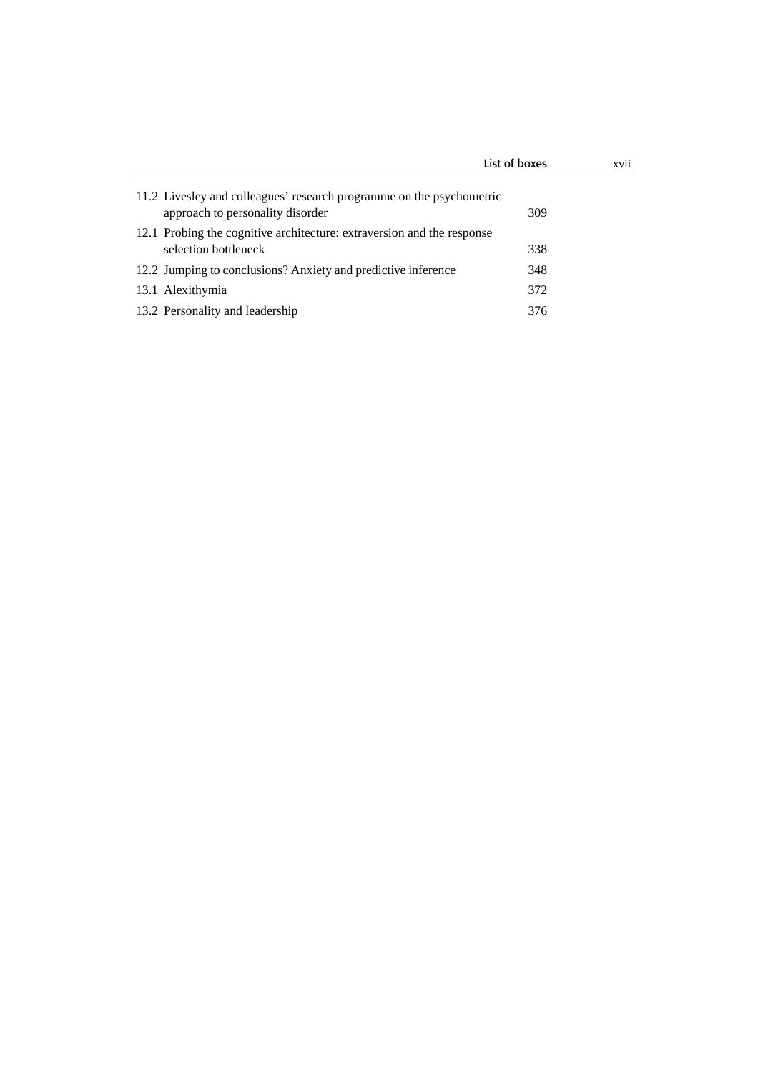|                                                                                                          | List of boxes | xvii |
|----------------------------------------------------------------------------------------------------------|---------------|------|
| 11.2 Livesley and colleagues' research programme on the psychometric<br>approach to personality disorder | 309           |      |
| 12.1 Probing the cognitive architecture: extraversion and the response<br>selection bottleneck           | 338           |      |
| 12.2 Jumping to conclusions? Anxiety and predictive inference                                            | 348           |      |
| 13.1 Alexithymia                                                                                         | 372           |      |
| 13.2 Personality and leadership                                                                          | 376           |      |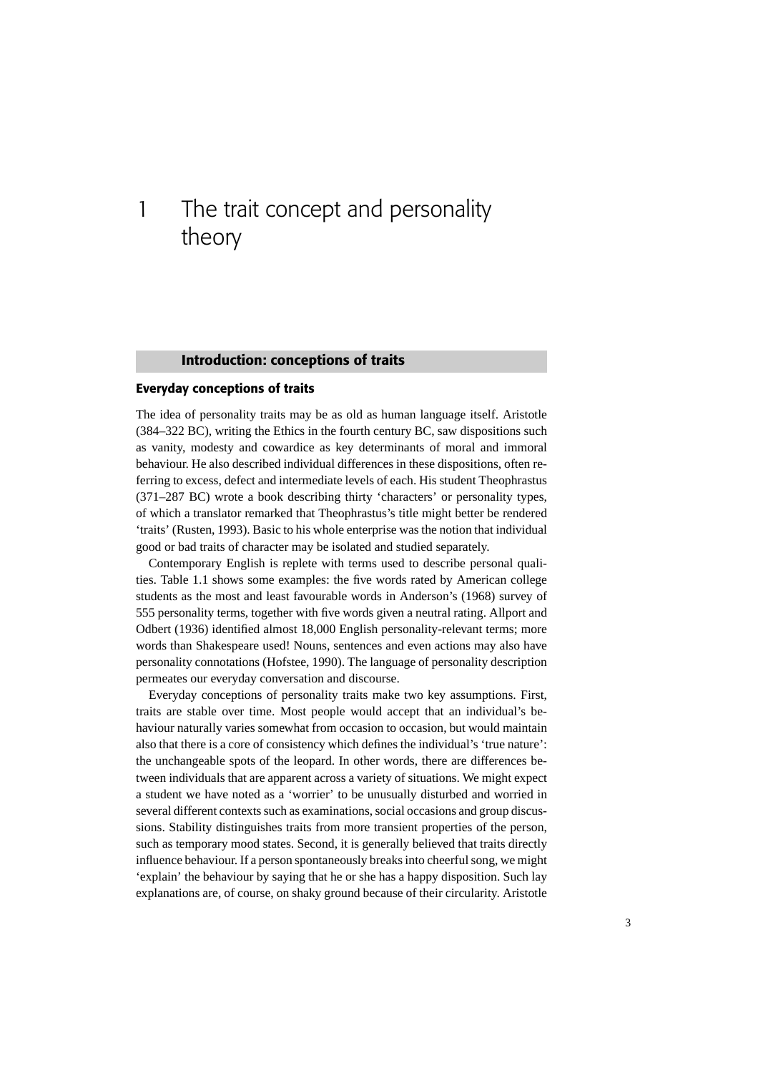### 1 The trait concept and personality theory

#### **Introduction: conceptions of traits**

#### **Everyday conceptions of traits**

The idea of personality traits may be as old as human language itself. Aristotle (384–322 BC), writing the Ethics in the fourth century BC, saw dispositions such as vanity, modesty and cowardice as key determinants of moral and immoral behaviour. He also described individual differences in these dispositions, often referring to excess, defect and intermediate levels of each. His student Theophrastus (371–287 BC) wrote a book describing thirty 'characters' or personality types, of which a translator remarked that Theophrastus's title might better be rendered 'traits' (Rusten, 1993). Basic to his whole enterprise was the notion that individual good or bad traits of character may be isolated and studied separately.

Contemporary English is replete with terms used to describe personal qualities. Table 1.1 shows some examples: the five words rated by American college students as the most and least favourable words in Anderson's (1968) survey of 555 personality terms, together with five words given a neutral rating. Allport and Odbert (1936) identified almost 18,000 English personality-relevant terms; more words than Shakespeare used! Nouns, sentences and even actions may also have personality connotations (Hofstee, 1990). The language of personality description permeates our everyday conversation and discourse.

Everyday conceptions of personality traits make two key assumptions. First, traits are stable over time. Most people would accept that an individual's behaviour naturally varies somewhat from occasion to occasion, but would maintain also that there is a core of consistency which defines the individual's 'true nature': the unchangeable spots of the leopard. In other words, there are differences between individuals that are apparent across a variety of situations. We might expect a student we have noted as a 'worrier' to be unusually disturbed and worried in several different contexts such as examinations, social occasions and group discussions. Stability distinguishes traits from more transient properties of the person, such as temporary mood states. Second, it is generally believed that traits directly influence behaviour. If a person spontaneously breaks into cheerful song, we might 'explain' the behaviour by saying that he or she has a happy disposition. Such lay explanations are, of course, on shaky ground because of their circularity. Aristotle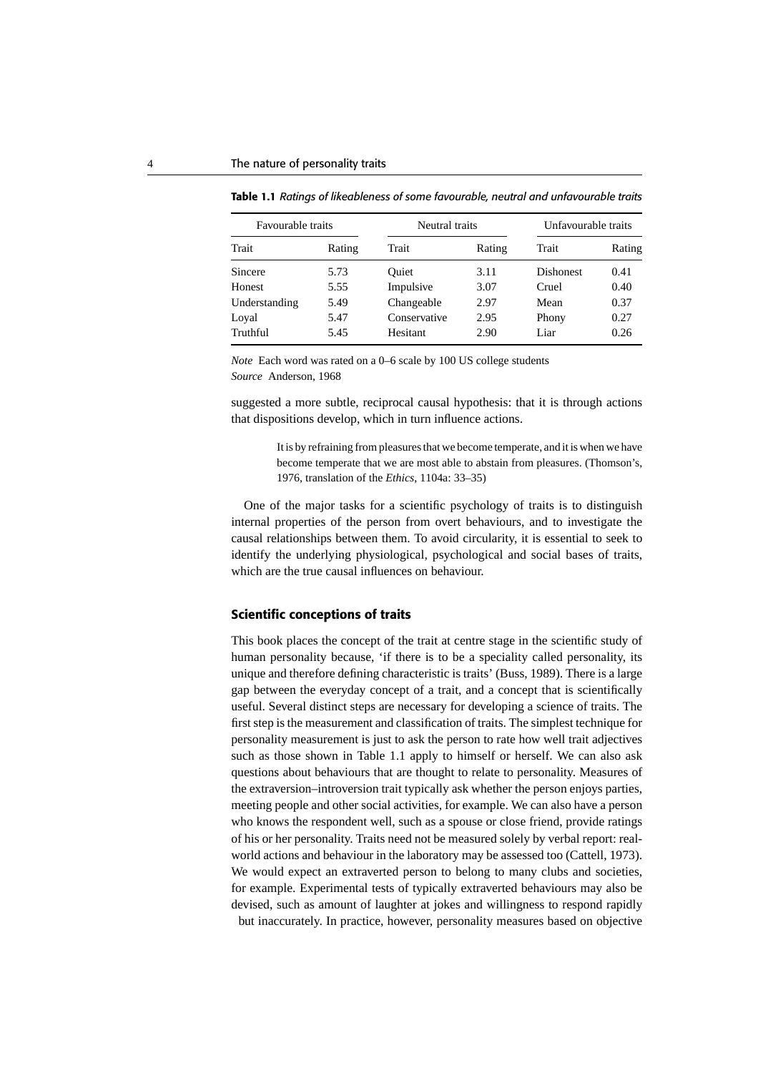| Favourable traits |        | Neutral traits |        | Unfavourable traits |        |  |
|-------------------|--------|----------------|--------|---------------------|--------|--|
| Trait             | Rating | Trait          | Rating | Trait               | Rating |  |
| Sincere           | 5.73   | Ouiet          | 3.11   | <b>Dishonest</b>    | 0.41   |  |
| Honest            | 5.55   | Impulsive      | 3.07   | Cruel               | 0.40   |  |
| Understanding     | 5.49   | Changeable     | 2.97   | Mean                | 0.37   |  |
| Loyal             | 5.47   | Conservative   | 2.95   | Phony               | 0.27   |  |
| Truthful          | 5.45   | Hesitant       | 2.90   | Liar                | 0.26   |  |

**Table 1.1** *Ratings of likeableness of some favourable, neutral and unfavourable traits*

*Note* Each word was rated on a 0–6 scale by 100 US college students *Source* Anderson, 1968

suggested a more subtle, reciprocal causal hypothesis: that it is through actions that dispositions develop, which in turn influence actions.

> It is by refraining from pleasures that we become temperate, and it is when we have become temperate that we are most able to abstain from pleasures. (Thomson's, 1976, translation of the *Ethics*, 1104a: 33–35)

One of the major tasks for a scientific psychology of traits is to distinguish internal properties of the person from overt behaviours, and to investigate the causal relationships between them. To avoid circularity, it is essential to seek to identify the underlying physiological, psychological and social bases of traits, which are the true causal influences on behaviour.

#### **Scientific conceptions of traits**

This book places the concept of the trait at centre stage in the scientific study of human personality because, 'if there is to be a speciality called personality, its unique and therefore defining characteristic is traits' (Buss, 1989). There is a large gap between the everyday concept of a trait, and a concept that is scientifically useful. Several distinct steps are necessary for developing a science of traits. The first step is the measurement and classification of traits. The simplest technique for personality measurement is just to ask the person to rate how well trait adjectives such as those shown in Table 1.1 apply to himself or herself. We can also ask questions about behaviours that are thought to relate to personality. Measures of the extraversion–introversion trait typically ask whether the person enjoys parties, meeting people and other social activities, for example. We can also have a person who knows the respondent well, such as a spouse or close friend, provide ratings of his or her personality. Traits need not be measured solely by verbal report: realworld actions and behaviour in the laboratory may be assessed too (Cattell, 1973). We would expect an extraverted person to belong to many clubs and societies, for example. Experimental tests of typically extraverted behaviours may also be devised, such as amount of laughter at jokes and willingness to respond rapidly but inaccurately. In practice, however, personality measures based on objective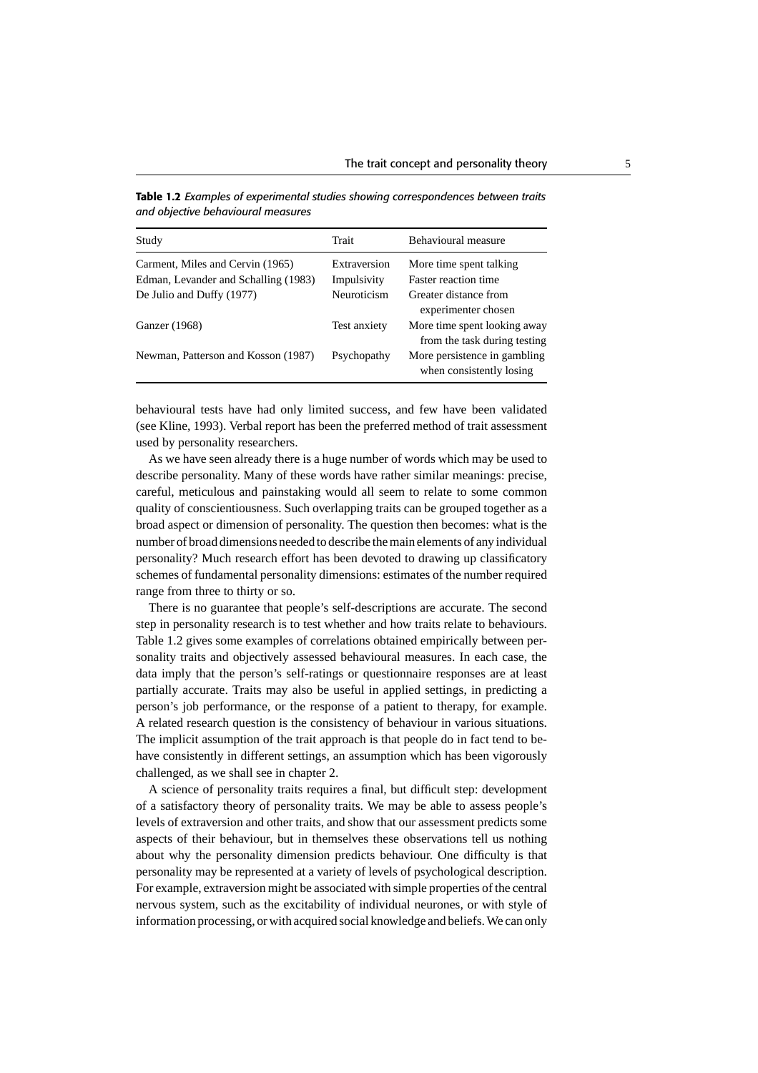| Study                                | Trait        | Behavioural measure                                          |
|--------------------------------------|--------------|--------------------------------------------------------------|
| Carment, Miles and Cervin (1965)     | Extraversion | More time spent talking                                      |
| Edman, Levander and Schalling (1983) | Impulsivity  | Faster reaction time                                         |
| De Julio and Duffy (1977)            | Neuroticism  | Greater distance from<br>experimenter chosen                 |
| Ganzer (1968)                        | Test anxiety | More time spent looking away<br>from the task during testing |
| Newman, Patterson and Kosson (1987)  | Psychopathy  | More persistence in gambling<br>when consistently losing     |

**Table 1.2** *Examples of experimental studies showing correspondences between traits and objective behavioural measures*

behavioural tests have had only limited success, and few have been validated (see Kline, 1993). Verbal report has been the preferred method of trait assessment used by personality researchers.

As we have seen already there is a huge number of words which may be used to describe personality. Many of these words have rather similar meanings: precise, careful, meticulous and painstaking would all seem to relate to some common quality of conscientiousness. Such overlapping traits can be grouped together as a broad aspect or dimension of personality. The question then becomes: what is the number of broad dimensions needed to describe the main elements of any individual personality? Much research effort has been devoted to drawing up classificatory schemes of fundamental personality dimensions: estimates of the number required range from three to thirty or so.

There is no guarantee that people's self-descriptions are accurate. The second step in personality research is to test whether and how traits relate to behaviours. Table 1.2 gives some examples of correlations obtained empirically between personality traits and objectively assessed behavioural measures. In each case, the data imply that the person's self-ratings or questionnaire responses are at least partially accurate. Traits may also be useful in applied settings, in predicting a person's job performance, or the response of a patient to therapy, for example. A related research question is the consistency of behaviour in various situations. The implicit assumption of the trait approach is that people do in fact tend to behave consistently in different settings, an assumption which has been vigorously challenged, as we shall see in chapter 2.

A science of personality traits requires a final, but difficult step: development of a satisfactory theory of personality traits. We may be able to assess people's levels of extraversion and other traits, and show that our assessment predicts some aspects of their behaviour, but in themselves these observations tell us nothing about why the personality dimension predicts behaviour. One difficulty is that personality may be represented at a variety of levels of psychological description. For example, extraversion might be associated with simple properties of the central nervous system, such as the excitability of individual neurones, or with style of information processing, or with acquired social knowledge and beliefs. We can only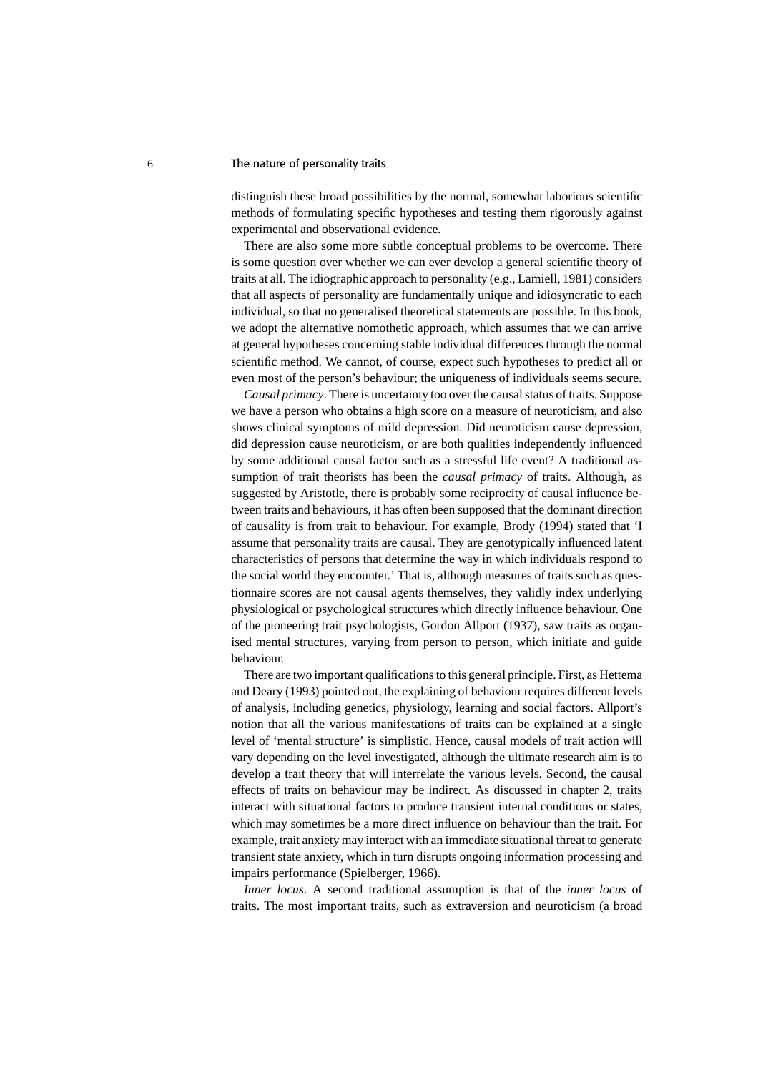distinguish these broad possibilities by the normal, somewhat laborious scientific methods of formulating specific hypotheses and testing them rigorously against experimental and observational evidence.

There are also some more subtle conceptual problems to be overcome. There is some question over whether we can ever develop a general scientific theory of traits at all. The idiographic approach to personality (e.g., Lamiell, 1981) considers that all aspects of personality are fundamentally unique and idiosyncratic to each individual, so that no generalised theoretical statements are possible. In this book, we adopt the alternative nomothetic approach, which assumes that we can arrive at general hypotheses concerning stable individual differences through the normal scientific method. We cannot, of course, expect such hypotheses to predict all or even most of the person's behaviour; the uniqueness of individuals seems secure.

*Causal primacy*. There is uncertainty too over the causal status of traits. Suppose we have a person who obtains a high score on a measure of neuroticism, and also shows clinical symptoms of mild depression. Did neuroticism cause depression, did depression cause neuroticism, or are both qualities independently influenced by some additional causal factor such as a stressful life event? A traditional assumption of trait theorists has been the *causal primacy* of traits. Although, as suggested by Aristotle, there is probably some reciprocity of causal influence between traits and behaviours, it has often been supposed that the dominant direction of causality is from trait to behaviour. For example, Brody (1994) stated that 'I assume that personality traits are causal. They are genotypically influenced latent characteristics of persons that determine the way in which individuals respond to the social world they encounter.' That is, although measures of traits such as questionnaire scores are not causal agents themselves, they validly index underlying physiological or psychological structures which directly influence behaviour. One of the pioneering trait psychologists, Gordon Allport (1937), saw traits as organised mental structures, varying from person to person, which initiate and guide behaviour.

There are two important qualifications to this general principle. First, as Hettema and Deary (1993) pointed out, the explaining of behaviour requires different levels of analysis, including genetics, physiology, learning and social factors. Allport's notion that all the various manifestations of traits can be explained at a single level of 'mental structure' is simplistic. Hence, causal models of trait action will vary depending on the level investigated, although the ultimate research aim is to develop a trait theory that will interrelate the various levels. Second, the causal effects of traits on behaviour may be indirect. As discussed in chapter 2, traits interact with situational factors to produce transient internal conditions or states, which may sometimes be a more direct influence on behaviour than the trait. For example, trait anxiety may interact with an immediate situational threat to generate transient state anxiety, which in turn disrupts ongoing information processing and impairs performance (Spielberger, 1966).

*Inner locus*. A second traditional assumption is that of the *inner locus* of traits. The most important traits, such as extraversion and neuroticism (a broad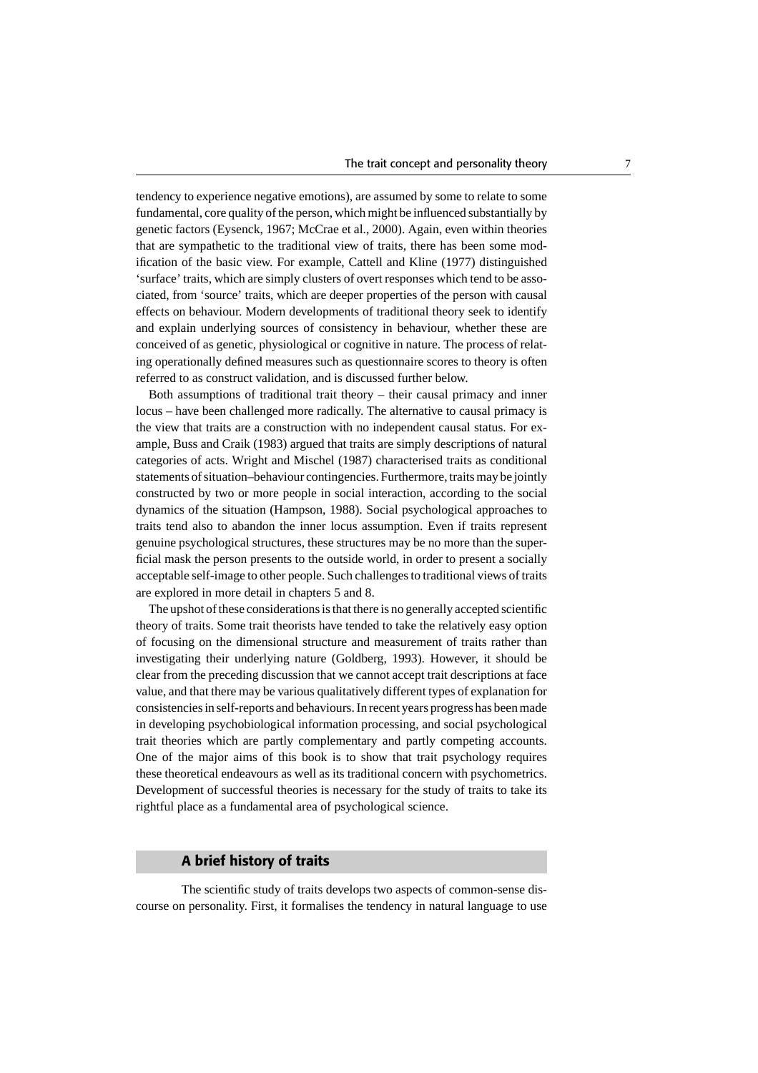tendency to experience negative emotions), are assumed by some to relate to some fundamental, core quality of the person, which might be influenced substantially by genetic factors (Eysenck, 1967; McCrae et al., 2000). Again, even within theories that are sympathetic to the traditional view of traits, there has been some modification of the basic view. For example, Cattell and Kline (1977) distinguished 'surface' traits, which are simply clusters of overt responses which tend to be associated, from 'source' traits, which are deeper properties of the person with causal effects on behaviour. Modern developments of traditional theory seek to identify and explain underlying sources of consistency in behaviour, whether these are conceived of as genetic, physiological or cognitive in nature. The process of relating operationally defined measures such as questionnaire scores to theory is often referred to as construct validation, and is discussed further below.

Both assumptions of traditional trait theory – their causal primacy and inner locus – have been challenged more radically. The alternative to causal primacy is the view that traits are a construction with no independent causal status. For example, Buss and Craik (1983) argued that traits are simply descriptions of natural categories of acts. Wright and Mischel (1987) characterised traits as conditional statements of situation–behaviour contingencies. Furthermore, traits may be jointly constructed by two or more people in social interaction, according to the social dynamics of the situation (Hampson, 1988). Social psychological approaches to traits tend also to abandon the inner locus assumption. Even if traits represent genuine psychological structures, these structures may be no more than the superficial mask the person presents to the outside world, in order to present a socially acceptable self-image to other people. Such challenges to traditional views of traits are explored in more detail in chapters 5 and 8.

The upshot of these considerations is that there is no generally accepted scientific theory of traits. Some trait theorists have tended to take the relatively easy option of focusing on the dimensional structure and measurement of traits rather than investigating their underlying nature (Goldberg, 1993). However, it should be clear from the preceding discussion that we cannot accept trait descriptions at face value, and that there may be various qualitatively different types of explanation for consistencies in self-reports and behaviours. In recent years progress has been made in developing psychobiological information processing, and social psychological trait theories which are partly complementary and partly competing accounts. One of the major aims of this book is to show that trait psychology requires these theoretical endeavours as well as its traditional concern with psychometrics. Development of successful theories is necessary for the study of traits to take its rightful place as a fundamental area of psychological science.

#### **A brief history of traits**

The scientific study of traits develops two aspects of common-sense discourse on personality. First, it formalises the tendency in natural language to use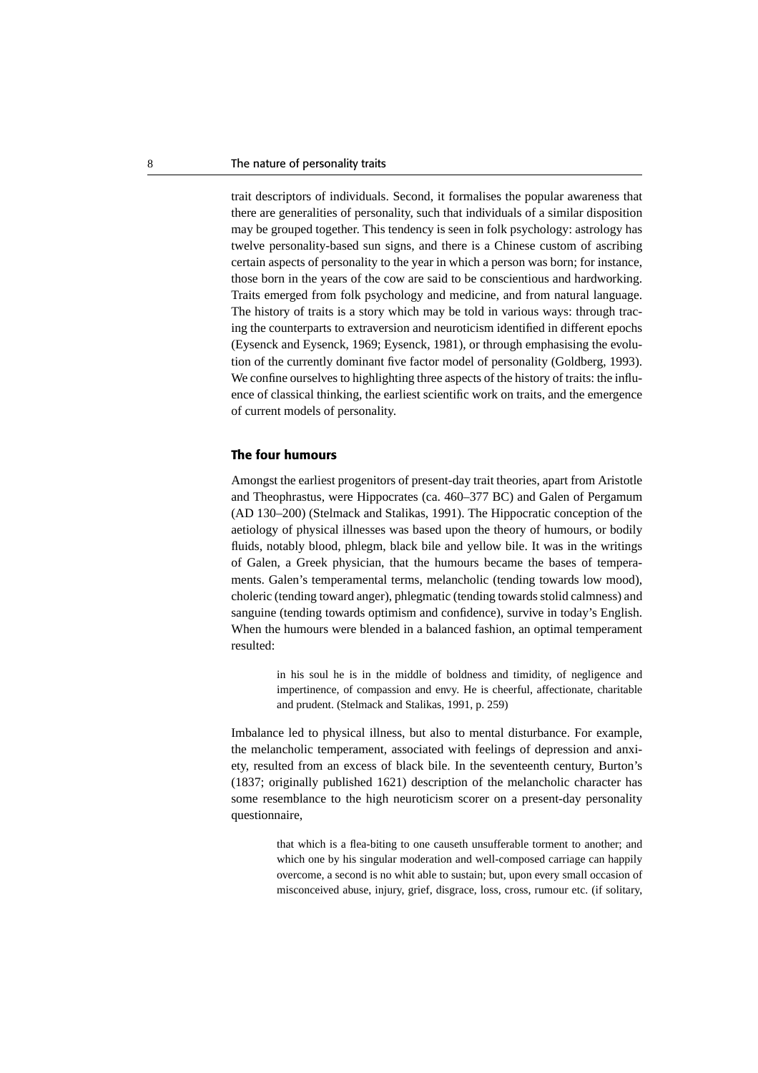trait descriptors of individuals. Second, it formalises the popular awareness that there are generalities of personality, such that individuals of a similar disposition may be grouped together. This tendency is seen in folk psychology: astrology has twelve personality-based sun signs, and there is a Chinese custom of ascribing certain aspects of personality to the year in which a person was born; for instance, those born in the years of the cow are said to be conscientious and hardworking. Traits emerged from folk psychology and medicine, and from natural language. The history of traits is a story which may be told in various ways: through tracing the counterparts to extraversion and neuroticism identified in different epochs (Eysenck and Eysenck, 1969; Eysenck, 1981), or through emphasising the evolution of the currently dominant five factor model of personality (Goldberg, 1993). We confine ourselves to highlighting three aspects of the history of traits: the influence of classical thinking, the earliest scientific work on traits, and the emergence of current models of personality.

#### **The four humours**

Amongst the earliest progenitors of present-day trait theories, apart from Aristotle and Theophrastus, were Hippocrates (ca. 460–377 BC) and Galen of Pergamum (AD 130–200) (Stelmack and Stalikas, 1991). The Hippocratic conception of the aetiology of physical illnesses was based upon the theory of humours, or bodily fluids, notably blood, phlegm, black bile and yellow bile. It was in the writings of Galen, a Greek physician, that the humours became the bases of temperaments. Galen's temperamental terms, melancholic (tending towards low mood), choleric (tending toward anger), phlegmatic (tending towards stolid calmness) and sanguine (tending towards optimism and confidence), survive in today's English. When the humours were blended in a balanced fashion, an optimal temperament resulted:

> in his soul he is in the middle of boldness and timidity, of negligence and impertinence, of compassion and envy. He is cheerful, affectionate, charitable and prudent. (Stelmack and Stalikas, 1991, p. 259)

Imbalance led to physical illness, but also to mental disturbance. For example, the melancholic temperament, associated with feelings of depression and anxiety, resulted from an excess of black bile. In the seventeenth century, Burton's (1837; originally published 1621) description of the melancholic character has some resemblance to the high neuroticism scorer on a present-day personality questionnaire,

> that which is a flea-biting to one causeth unsufferable torment to another; and which one by his singular moderation and well-composed carriage can happily overcome, a second is no whit able to sustain; but, upon every small occasion of misconceived abuse, injury, grief, disgrace, loss, cross, rumour etc. (if solitary,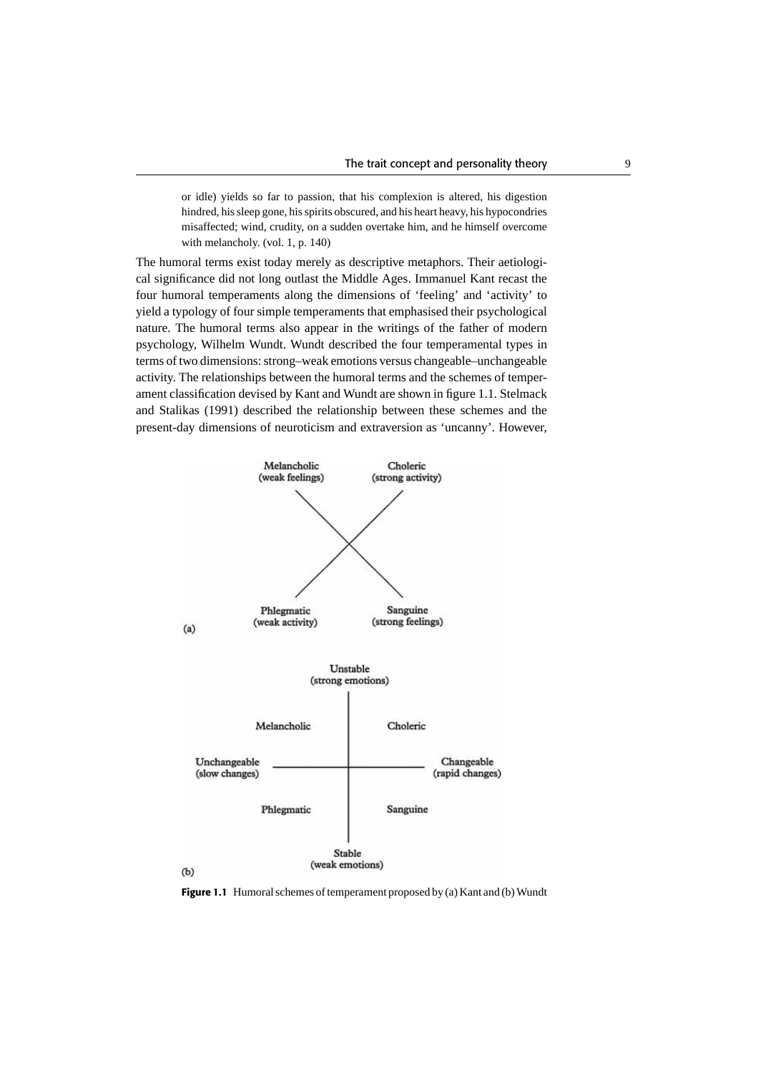or idle) yields so far to passion, that his complexion is altered, his digestion hindred, his sleep gone, his spirits obscured, and his heart heavy, his hypocondries misaffected; wind, crudity, on a sudden overtake him, and he himself overcome with melancholy. (vol. 1, p. 140)

The humoral terms exist today merely as descriptive metaphors. Their aetiological significance did not long outlast the Middle Ages. Immanuel Kant recast the four humoral temperaments along the dimensions of 'feeling' and 'activity' to yield a typology of four simple temperaments that emphasised their psychological nature. The humoral terms also appear in the writings of the father of modern psychology, Wilhelm Wundt. Wundt described the four temperamental types in terms of two dimensions: strong–weak emotions versus changeable–unchangeable activity. The relationships between the humoral terms and the schemes of temperament classification devised by Kant and Wundt are shown in figure 1.1. Stelmack and Stalikas (1991) described the relationship between these schemes and the present-day dimensions of neuroticism and extraversion as 'uncanny'. However,



**Figure 1.1** Humoral schemes of temperament proposed by (a) Kant and (b) Wundt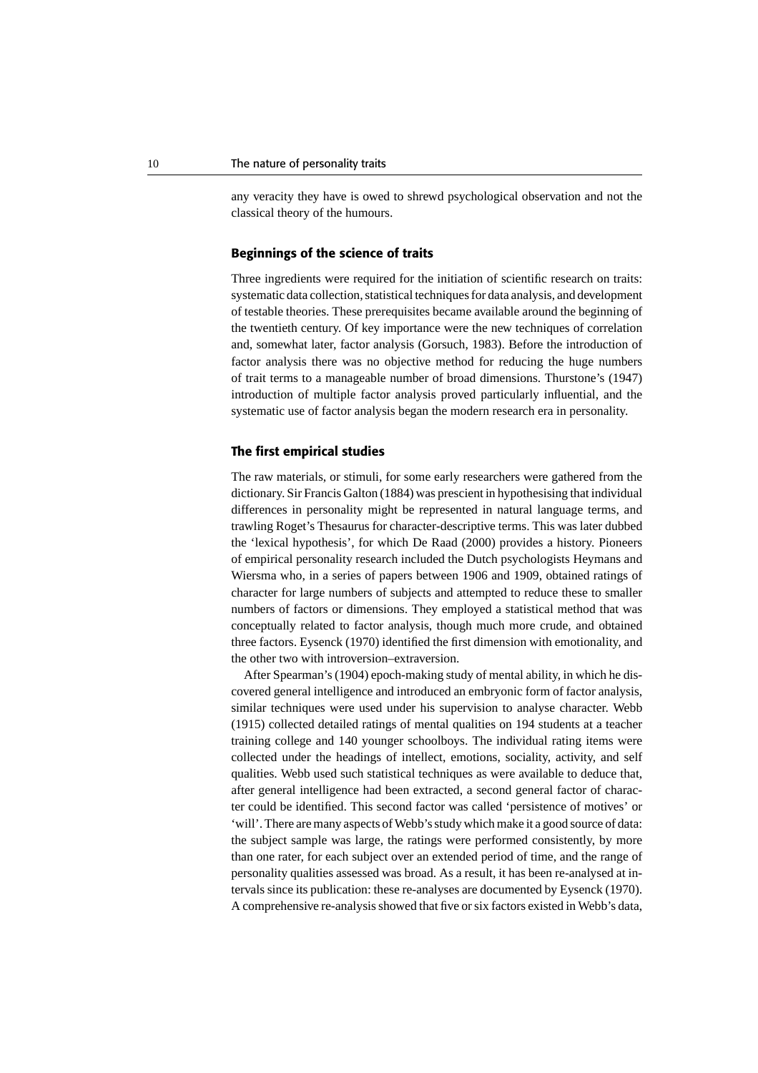any veracity they have is owed to shrewd psychological observation and not the classical theory of the humours.

#### **Beginnings of the science of traits**

Three ingredients were required for the initiation of scientific research on traits: systematic data collection, statistical techniques for data analysis, and development of testable theories. These prerequisites became available around the beginning of the twentieth century. Of key importance were the new techniques of correlation and, somewhat later, factor analysis (Gorsuch, 1983). Before the introduction of factor analysis there was no objective method for reducing the huge numbers of trait terms to a manageable number of broad dimensions. Thurstone's (1947) introduction of multiple factor analysis proved particularly influential, and the systematic use of factor analysis began the modern research era in personality.

#### **The first empirical studies**

The raw materials, or stimuli, for some early researchers were gathered from the dictionary. Sir Francis Galton (1884) was prescient in hypothesising that individual differences in personality might be represented in natural language terms, and trawling Roget's Thesaurus for character-descriptive terms. This was later dubbed the 'lexical hypothesis', for which De Raad (2000) provides a history. Pioneers of empirical personality research included the Dutch psychologists Heymans and Wiersma who, in a series of papers between 1906 and 1909, obtained ratings of character for large numbers of subjects and attempted to reduce these to smaller numbers of factors or dimensions. They employed a statistical method that was conceptually related to factor analysis, though much more crude, and obtained three factors. Eysenck (1970) identified the first dimension with emotionality, and the other two with introversion–extraversion.

After Spearman's (1904) epoch-making study of mental ability, in which he discovered general intelligence and introduced an embryonic form of factor analysis, similar techniques were used under his supervision to analyse character. Webb (1915) collected detailed ratings of mental qualities on 194 students at a teacher training college and 140 younger schoolboys. The individual rating items were collected under the headings of intellect, emotions, sociality, activity, and self qualities. Webb used such statistical techniques as were available to deduce that, after general intelligence had been extracted, a second general factor of character could be identified. This second factor was called 'persistence of motives' or 'will'. There are many aspects of Webb's study which make it a good source of data: the subject sample was large, the ratings were performed consistently, by more than one rater, for each subject over an extended period of time, and the range of personality qualities assessed was broad. As a result, it has been re-analysed at intervals since its publication: these re-analyses are documented by Eysenck (1970). A comprehensive re-analysis showed that five or six factors existed in Webb's data,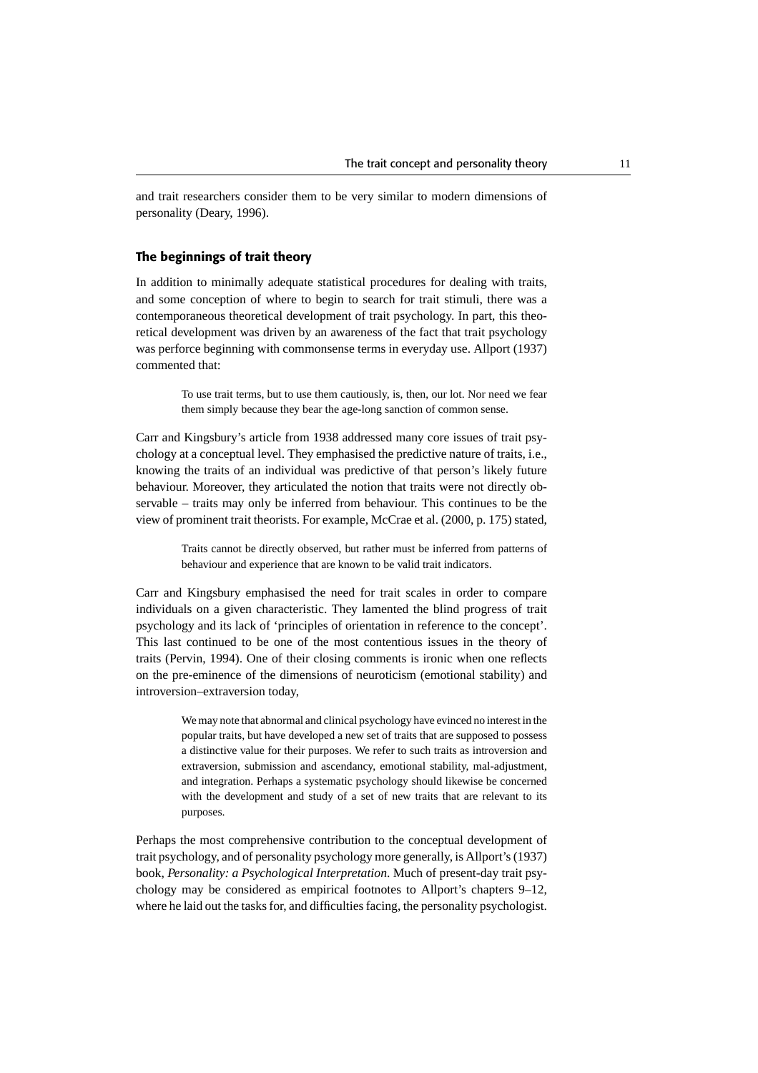and trait researchers consider them to be very similar to modern dimensions of personality (Deary, 1996).

#### **The beginnings of trait theory**

In addition to minimally adequate statistical procedures for dealing with traits, and some conception of where to begin to search for trait stimuli, there was a contemporaneous theoretical development of trait psychology. In part, this theoretical development was driven by an awareness of the fact that trait psychology was perforce beginning with commonsense terms in everyday use. Allport (1937) commented that:

> To use trait terms, but to use them cautiously, is, then, our lot. Nor need we fear them simply because they bear the age-long sanction of common sense.

Carr and Kingsbury's article from 1938 addressed many core issues of trait psychology at a conceptual level. They emphasised the predictive nature of traits, i.e., knowing the traits of an individual was predictive of that person's likely future behaviour. Moreover, they articulated the notion that traits were not directly observable – traits may only be inferred from behaviour. This continues to be the view of prominent trait theorists. For example, McCrae et al. (2000, p. 175) stated,

> Traits cannot be directly observed, but rather must be inferred from patterns of behaviour and experience that are known to be valid trait indicators.

Carr and Kingsbury emphasised the need for trait scales in order to compare individuals on a given characteristic. They lamented the blind progress of trait psychology and its lack of 'principles of orientation in reference to the concept'. This last continued to be one of the most contentious issues in the theory of traits (Pervin, 1994). One of their closing comments is ironic when one reflects on the pre-eminence of the dimensions of neuroticism (emotional stability) and introversion–extraversion today,

> We may note that abnormal and clinical psychology have evinced no interest in the popular traits, but have developed a new set of traits that are supposed to possess a distinctive value for their purposes. We refer to such traits as introversion and extraversion, submission and ascendancy, emotional stability, mal-adjustment, and integration. Perhaps a systematic psychology should likewise be concerned with the development and study of a set of new traits that are relevant to its purposes.

Perhaps the most comprehensive contribution to the conceptual development of trait psychology, and of personality psychology more generally, is Allport's (1937) book, *Personality: a Psychological Interpretation*. Much of present-day trait psychology may be considered as empirical footnotes to Allport's chapters 9–12, where he laid out the tasks for, and difficulties facing, the personality psychologist.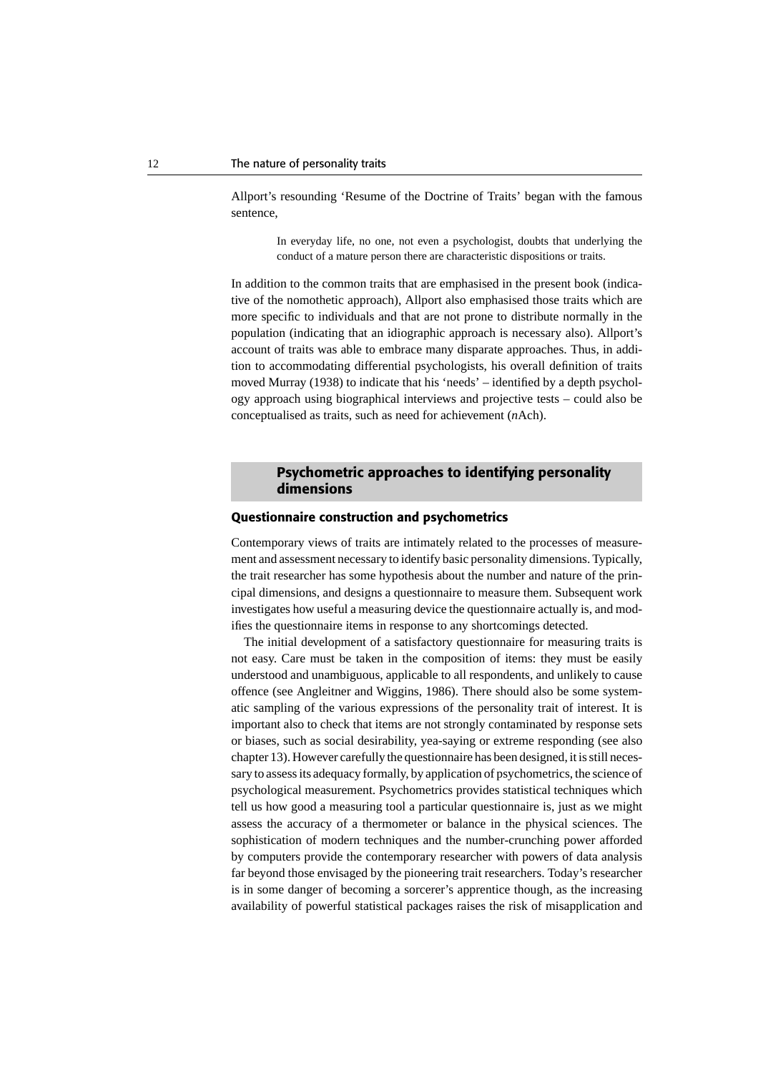Allport's resounding 'Resume of the Doctrine of Traits' began with the famous sentence,

> In everyday life, no one, not even a psychologist, doubts that underlying the conduct of a mature person there are characteristic dispositions or traits.

In addition to the common traits that are emphasised in the present book (indicative of the nomothetic approach), Allport also emphasised those traits which are more specific to individuals and that are not prone to distribute normally in the population (indicating that an idiographic approach is necessary also). Allport's account of traits was able to embrace many disparate approaches. Thus, in addition to accommodating differential psychologists, his overall definition of traits moved Murray (1938) to indicate that his 'needs' – identified by a depth psychology approach using biographical interviews and projective tests – could also be conceptualised as traits, such as need for achievement (*n*Ach).

#### **Psychometric approaches to identifying personality dimensions**

#### **Questionnaire construction and psychometrics**

Contemporary views of traits are intimately related to the processes of measurement and assessment necessary to identify basic personality dimensions. Typically, the trait researcher has some hypothesis about the number and nature of the principal dimensions, and designs a questionnaire to measure them. Subsequent work investigates how useful a measuring device the questionnaire actually is, and modifies the questionnaire items in response to any shortcomings detected.

The initial development of a satisfactory questionnaire for measuring traits is not easy. Care must be taken in the composition of items: they must be easily understood and unambiguous, applicable to all respondents, and unlikely to cause offence (see Angleitner and Wiggins, 1986). There should also be some systematic sampling of the various expressions of the personality trait of interest. It is important also to check that items are not strongly contaminated by response sets or biases, such as social desirability, yea-saying or extreme responding (see also chapter 13). However carefully the questionnaire has been designed, it is still necessary to assess its adequacy formally, by application of psychometrics, the science of psychological measurement. Psychometrics provides statistical techniques which tell us how good a measuring tool a particular questionnaire is, just as we might assess the accuracy of a thermometer or balance in the physical sciences. The sophistication of modern techniques and the number-crunching power afforded by computers provide the contemporary researcher with powers of data analysis far beyond those envisaged by the pioneering trait researchers. Today's researcher is in some danger of becoming a sorcerer's apprentice though, as the increasing availability of powerful statistical packages raises the risk of misapplication and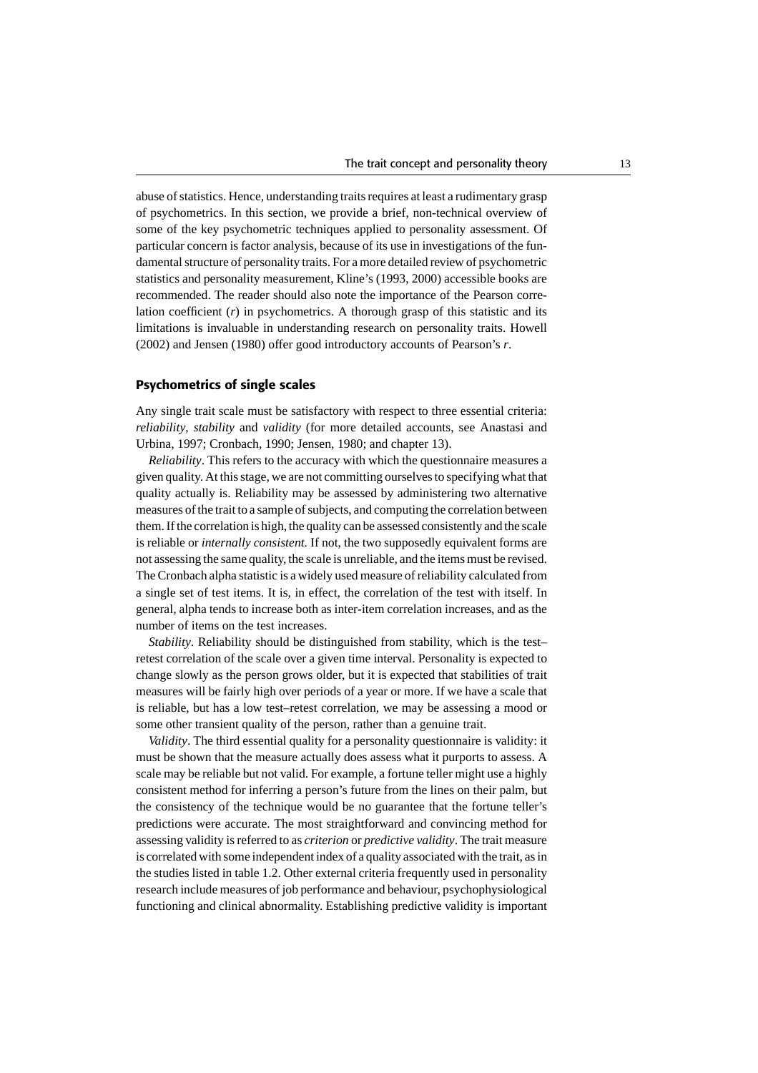abuse of statistics. Hence, understanding traits requires at least a rudimentary grasp of psychometrics. In this section, we provide a brief, non-technical overview of some of the key psychometric techniques applied to personality assessment. Of particular concern is factor analysis, because of its use in investigations of the fundamental structure of personality traits. For a more detailed review of psychometric statistics and personality measurement, Kline's (1993, 2000) accessible books are recommended. The reader should also note the importance of the Pearson correlation coefficient  $(r)$  in psychometrics. A thorough grasp of this statistic and its limitations is invaluable in understanding research on personality traits. Howell (2002) and Jensen (1980) offer good introductory accounts of Pearson's *r*.

#### **Psychometrics of single scales**

Any single trait scale must be satisfactory with respect to three essential criteria: *reliability*, *stability* and *validity* (for more detailed accounts, see Anastasi and Urbina, 1997; Cronbach, 1990; Jensen, 1980; and chapter 13).

*Reliability*. This refers to the accuracy with which the questionnaire measures a given quality. At this stage, we are not committing ourselves to specifying what that quality actually is. Reliability may be assessed by administering two alternative measures of the trait to a sample of subjects, and computing the correlation between them. If the correlation is high, the quality can be assessed consistently and the scale is reliable or *internally consistent.* If not, the two supposedly equivalent forms are not assessing the same quality, the scale is unreliable, and the items must be revised. The Cronbach alpha statistic is a widely used measure of reliability calculated from a single set of test items. It is, in effect, the correlation of the test with itself. In general, alpha tends to increase both as inter-item correlation increases, and as the number of items on the test increases.

*Stability*. Reliability should be distinguished from stability, which is the test– retest correlation of the scale over a given time interval. Personality is expected to change slowly as the person grows older, but it is expected that stabilities of trait measures will be fairly high over periods of a year or more. If we have a scale that is reliable, but has a low test–retest correlation, we may be assessing a mood or some other transient quality of the person, rather than a genuine trait.

*Validity*. The third essential quality for a personality questionnaire is validity: it must be shown that the measure actually does assess what it purports to assess. A scale may be reliable but not valid. For example, a fortune teller might use a highly consistent method for inferring a person's future from the lines on their palm, but the consistency of the technique would be no guarantee that the fortune teller's predictions were accurate. The most straightforward and convincing method for assessing validity is referred to as *criterion* or *predictive validity*. The trait measure is correlated with some independent index of a quality associated with the trait, as in the studies listed in table 1.2. Other external criteria frequently used in personality research include measures of job performance and behaviour, psychophysiological functioning and clinical abnormality. Establishing predictive validity is important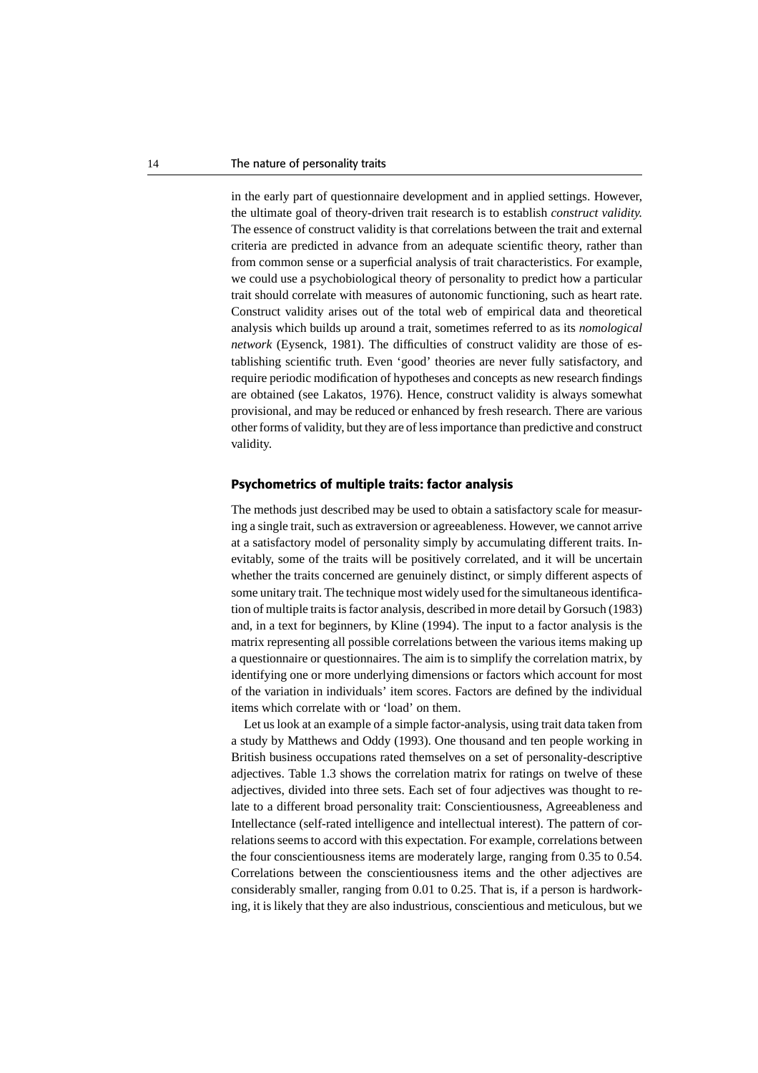in the early part of questionnaire development and in applied settings. However, the ultimate goal of theory-driven trait research is to establish *construct validity.* The essence of construct validity is that correlations between the trait and external criteria are predicted in advance from an adequate scientific theory, rather than from common sense or a superficial analysis of trait characteristics. For example, we could use a psychobiological theory of personality to predict how a particular trait should correlate with measures of autonomic functioning, such as heart rate. Construct validity arises out of the total web of empirical data and theoretical analysis which builds up around a trait, sometimes referred to as its *nomological network* (Eysenck, 1981). The difficulties of construct validity are those of establishing scientific truth. Even 'good' theories are never fully satisfactory, and require periodic modification of hypotheses and concepts as new research findings are obtained (see Lakatos, 1976). Hence, construct validity is always somewhat provisional, and may be reduced or enhanced by fresh research. There are various other forms of validity, but they are of less importance than predictive and construct validity.

#### **Psychometrics of multiple traits: factor analysis**

The methods just described may be used to obtain a satisfactory scale for measuring a single trait, such as extraversion or agreeableness. However, we cannot arrive at a satisfactory model of personality simply by accumulating different traits. Inevitably, some of the traits will be positively correlated, and it will be uncertain whether the traits concerned are genuinely distinct, or simply different aspects of some unitary trait. The technique most widely used for the simultaneous identification of multiple traits is factor analysis, described in more detail by Gorsuch (1983) and, in a text for beginners, by Kline (1994). The input to a factor analysis is the matrix representing all possible correlations between the various items making up a questionnaire or questionnaires. The aim is to simplify the correlation matrix, by identifying one or more underlying dimensions or factors which account for most of the variation in individuals' item scores. Factors are defined by the individual items which correlate with or 'load' on them.

Let us look at an example of a simple factor-analysis, using trait data taken from a study by Matthews and Oddy (1993). One thousand and ten people working in British business occupations rated themselves on a set of personality-descriptive adjectives. Table 1.3 shows the correlation matrix for ratings on twelve of these adjectives, divided into three sets. Each set of four adjectives was thought to relate to a different broad personality trait: Conscientiousness, Agreeableness and Intellectance (self-rated intelligence and intellectual interest). The pattern of correlations seems to accord with this expectation. For example, correlations between the four conscientiousness items are moderately large, ranging from 0.35 to 0.54. Correlations between the conscientiousness items and the other adjectives are considerably smaller, ranging from 0.01 to 0.25. That is, if a person is hardworking, it is likely that they are also industrious, conscientious and meticulous, but we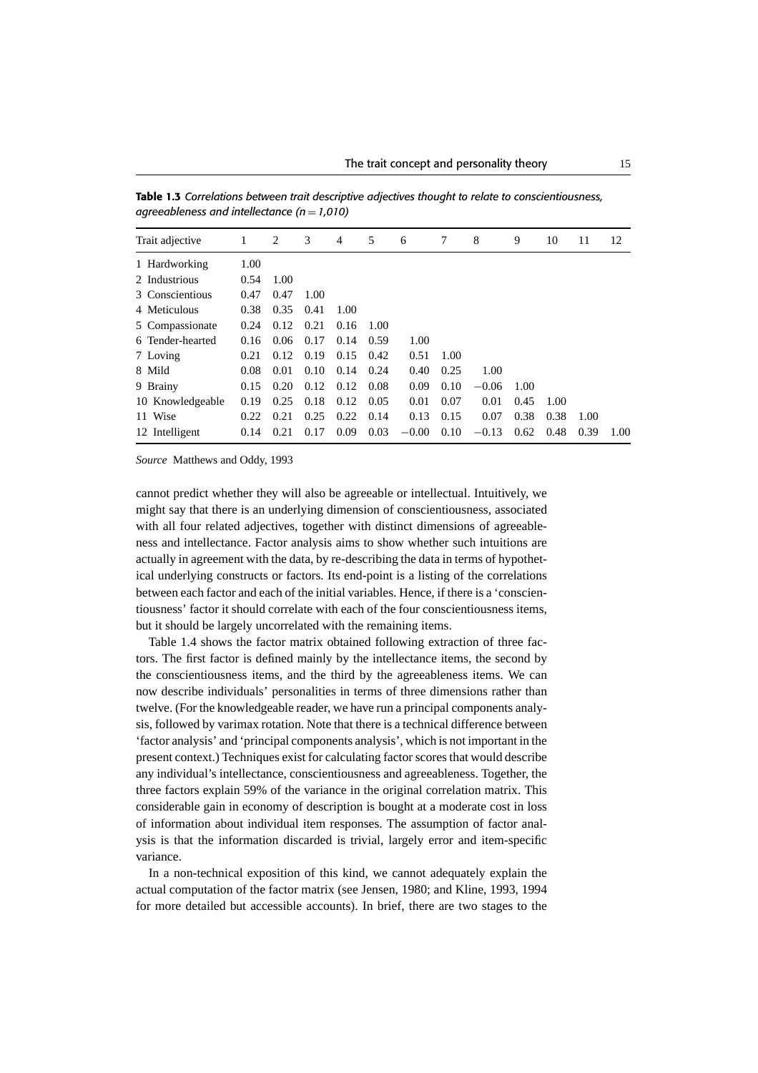| Trait adjective  | 1    | 2    | 3    | $\overline{4}$ | 5    | 6       | 7    | 8       | 9    | 10   | 11   | 12   |
|------------------|------|------|------|----------------|------|---------|------|---------|------|------|------|------|
| 1 Hardworking    | 1.00 |      |      |                |      |         |      |         |      |      |      |      |
| 2 Industrious    | 0.54 | 1.00 |      |                |      |         |      |         |      |      |      |      |
| 3 Conscientious  | 0.47 | 0.47 | 1.00 |                |      |         |      |         |      |      |      |      |
| 4 Meticulous     | 0.38 | 0.35 | 0.41 | 1.00           |      |         |      |         |      |      |      |      |
| 5 Compassionate  | 0.24 | 0.12 | 0.21 | 0.16           | 1.00 |         |      |         |      |      |      |      |
| 6 Tender-hearted | 0.16 | 0.06 | 0.17 | 0.14           | 0.59 | 1.00    |      |         |      |      |      |      |
| 7 Loving         | 0.21 | 0.12 | 0.19 | 0.15           | 0.42 | 0.51    | 1.00 |         |      |      |      |      |
| 8 Mild           | 0.08 | 0.01 | 0.10 | 0.14           | 0.24 | 0.40    | 0.25 | 1.00    |      |      |      |      |
| 9 Brainy         | 0.15 | 0.20 | 0.12 | 0.12           | 0.08 | 0.09    | 0.10 | $-0.06$ | 1.00 |      |      |      |
| 10 Knowledgeable | 0.19 | 0.25 | 0.18 | 0.12           | 0.05 | 0.01    | 0.07 | 0.01    | 0.45 | 1.00 |      |      |
| 11 Wise          | 0.22 | 0.21 | 0.25 | 0.22           | 0.14 | 0.13    | 0.15 | 0.07    | 0.38 | 0.38 | 1.00 |      |
| 12 Intelligent   | 0.14 | 0.21 | 0.17 | 0.09           | 0.03 | $-0.00$ | 0.10 | $-0.13$ | 0.62 | 0.48 | 0.39 | 1.00 |

**Table 1.3** *Correlations between trait descriptive adjectives thought to relate to conscientiousness, agreeableness and intellectance (n* = *1,010)*

*Source* Matthews and Oddy, 1993

cannot predict whether they will also be agreeable or intellectual. Intuitively, we might say that there is an underlying dimension of conscientiousness, associated with all four related adjectives, together with distinct dimensions of agreeableness and intellectance. Factor analysis aims to show whether such intuitions are actually in agreement with the data, by re-describing the data in terms of hypothetical underlying constructs or factors. Its end-point is a listing of the correlations between each factor and each of the initial variables. Hence, if there is a 'conscientiousness' factor it should correlate with each of the four conscientiousness items, but it should be largely uncorrelated with the remaining items.

Table 1.4 shows the factor matrix obtained following extraction of three factors. The first factor is defined mainly by the intellectance items, the second by the conscientiousness items, and the third by the agreeableness items. We can now describe individuals' personalities in terms of three dimensions rather than twelve. (For the knowledgeable reader, we have run a principal components analysis, followed by varimax rotation. Note that there is a technical difference between 'factor analysis' and 'principal components analysis', which is not important in the present context.) Techniques exist for calculating factor scores that would describe any individual's intellectance, conscientiousness and agreeableness. Together, the three factors explain 59% of the variance in the original correlation matrix. This considerable gain in economy of description is bought at a moderate cost in loss of information about individual item responses. The assumption of factor analysis is that the information discarded is trivial, largely error and item-specific variance.

In a non-technical exposition of this kind, we cannot adequately explain the actual computation of the factor matrix (see Jensen, 1980; and Kline, 1993, 1994 for more detailed but accessible accounts). In brief, there are two stages to the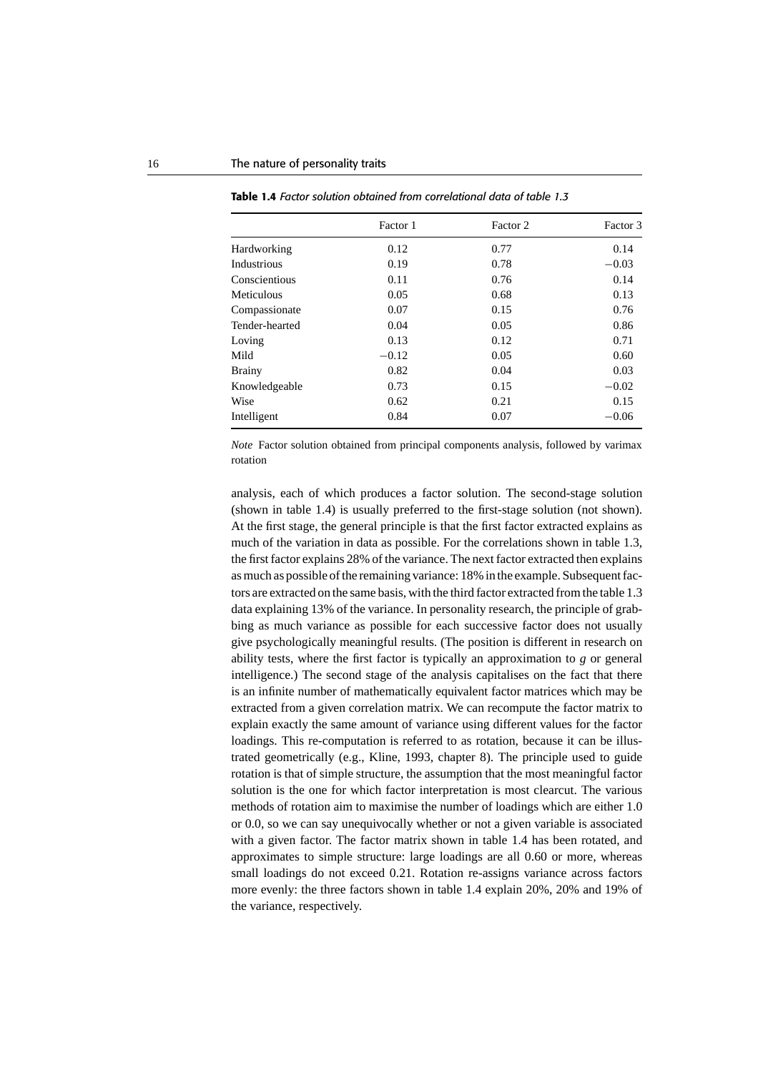|                | Factor 1 | Factor 2 | Factor 3 |
|----------------|----------|----------|----------|
| Hardworking    | 0.12     | 0.77     | 0.14     |
| Industrious    | 0.19     | 0.78     | $-0.03$  |
| Conscientious  | 0.11     | 0.76     | 0.14     |
| Meticulous     | 0.05     | 0.68     | 0.13     |
| Compassionate  | 0.07     | 0.15     | 0.76     |
| Tender-hearted | 0.04     | 0.05     | 0.86     |
| Loving         | 0.13     | 0.12     | 0.71     |
| Mild           | $-0.12$  | 0.05     | 0.60     |
| <b>Brainy</b>  | 0.82     | 0.04     | 0.03     |
| Knowledgeable  | 0.73     | 0.15     | $-0.02$  |
| Wise           | 0.62     | 0.21     | 0.15     |
| Intelligent    | 0.84     | 0.07     | $-0.06$  |

**Table 1.4** *Factor solution obtained from correlational data of table 1.3*

*Note* Factor solution obtained from principal components analysis, followed by varimax rotation

analysis, each of which produces a factor solution. The second-stage solution (shown in table 1.4) is usually preferred to the first-stage solution (not shown). At the first stage, the general principle is that the first factor extracted explains as much of the variation in data as possible. For the correlations shown in table 1.3, the first factor explains 28% of the variance. The next factor extracted then explains as much as possible of the remaining variance: 18% in the example. Subsequent factors are extracted on the same basis, with the third factor extracted from the table 1.3 data explaining 13% of the variance. In personality research, the principle of grabbing as much variance as possible for each successive factor does not usually give psychologically meaningful results. (The position is different in research on ability tests, where the first factor is typically an approximation to *g* or general intelligence.) The second stage of the analysis capitalises on the fact that there is an infinite number of mathematically equivalent factor matrices which may be extracted from a given correlation matrix. We can recompute the factor matrix to explain exactly the same amount of variance using different values for the factor loadings. This re-computation is referred to as rotation, because it can be illustrated geometrically (e.g., Kline, 1993, chapter 8). The principle used to guide rotation is that of simple structure, the assumption that the most meaningful factor solution is the one for which factor interpretation is most clearcut. The various methods of rotation aim to maximise the number of loadings which are either 1.0 or 0.0, so we can say unequivocally whether or not a given variable is associated with a given factor. The factor matrix shown in table 1.4 has been rotated, and approximates to simple structure: large loadings are all 0.60 or more, whereas small loadings do not exceed 0.21. Rotation re-assigns variance across factors more evenly: the three factors shown in table 1.4 explain 20%, 20% and 19% of the variance, respectively.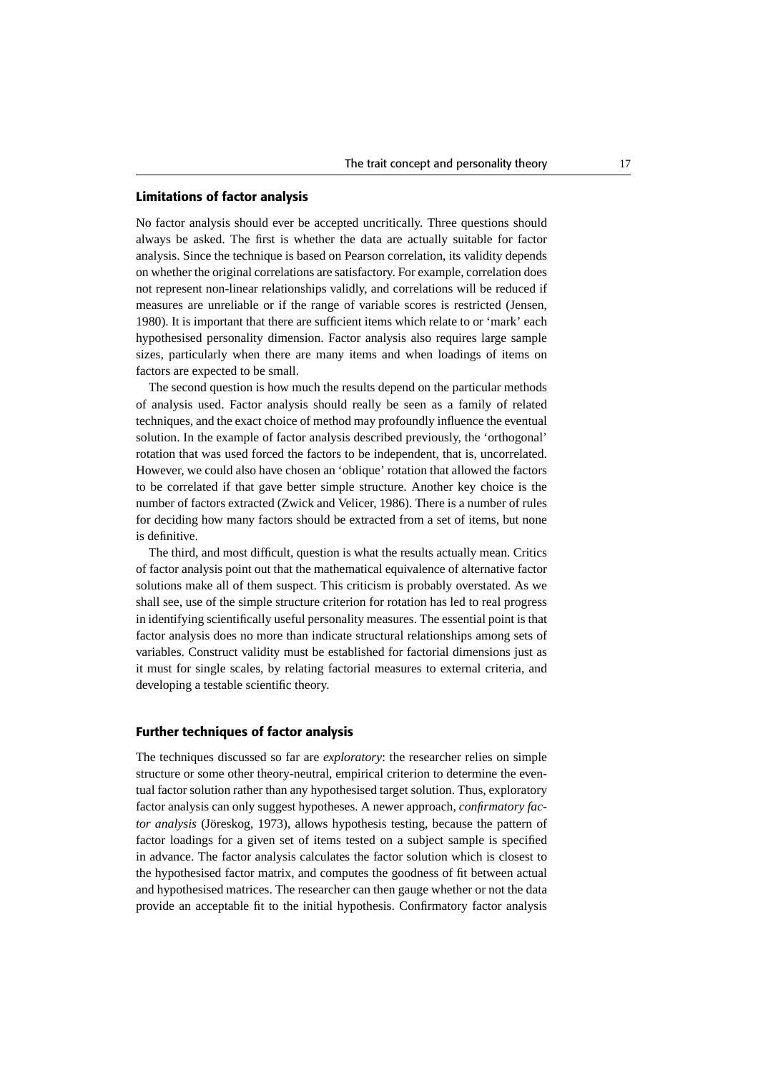#### **Limitations of factor analysis**

No factor analysis should ever be accepted uncritically. Three questions should always be asked. The first is whether the data are actually suitable for factor analysis. Since the technique is based on Pearson correlation, its validity depends on whether the original correlations are satisfactory. For example, correlation does not represent non-linear relationships validly, and correlations will be reduced if measures are unreliable or if the range of variable scores is restricted (Jensen, 1980). It is important that there are sufficient items which relate to or 'mark' each hypothesised personality dimension. Factor analysis also requires large sample sizes, particularly when there are many items and when loadings of items on factors are expected to be small.

The second question is how much the results depend on the particular methods of analysis used. Factor analysis should really be seen as a family of related techniques, and the exact choice of method may profoundly influence the eventual solution. In the example of factor analysis described previously, the 'orthogonal' rotation that was used forced the factors to be independent, that is, uncorrelated. However, we could also have chosen an 'oblique' rotation that allowed the factors to be correlated if that gave better simple structure. Another key choice is the number of factors extracted (Zwick and Velicer, 1986). There is a number of rules for deciding how many factors should be extracted from a set of items, but none is definitive.

The third, and most difficult, question is what the results actually mean. Critics of factor analysis point out that the mathematical equivalence of alternative factor solutions make all of them suspect. This criticism is probably overstated. As we shall see, use of the simple structure criterion for rotation has led to real progress in identifying scientifically useful personality measures. The essential point is that factor analysis does no more than indicate structural relationships among sets of variables. Construct validity must be established for factorial dimensions just as it must for single scales, by relating factorial measures to external criteria, and developing a testable scientific theory.

#### **Further techniques of factor analysis**

The techniques discussed so far are *exploratory*: the researcher relies on simple structure or some other theory-neutral, empirical criterion to determine the eventual factor solution rather than any hypothesised target solution. Thus, exploratory factor analysis can only suggest hypotheses. A newer approach, *confirmatory factor analysis* (Jöreskog, 1973), allows hypothesis testing, because the pattern of factor loadings for a given set of items tested on a subject sample is specified in advance. The factor analysis calculates the factor solution which is closest to the hypothesised factor matrix, and computes the goodness of fit between actual and hypothesised matrices. The researcher can then gauge whether or not the data provide an acceptable fit to the initial hypothesis. Confirmatory factor analysis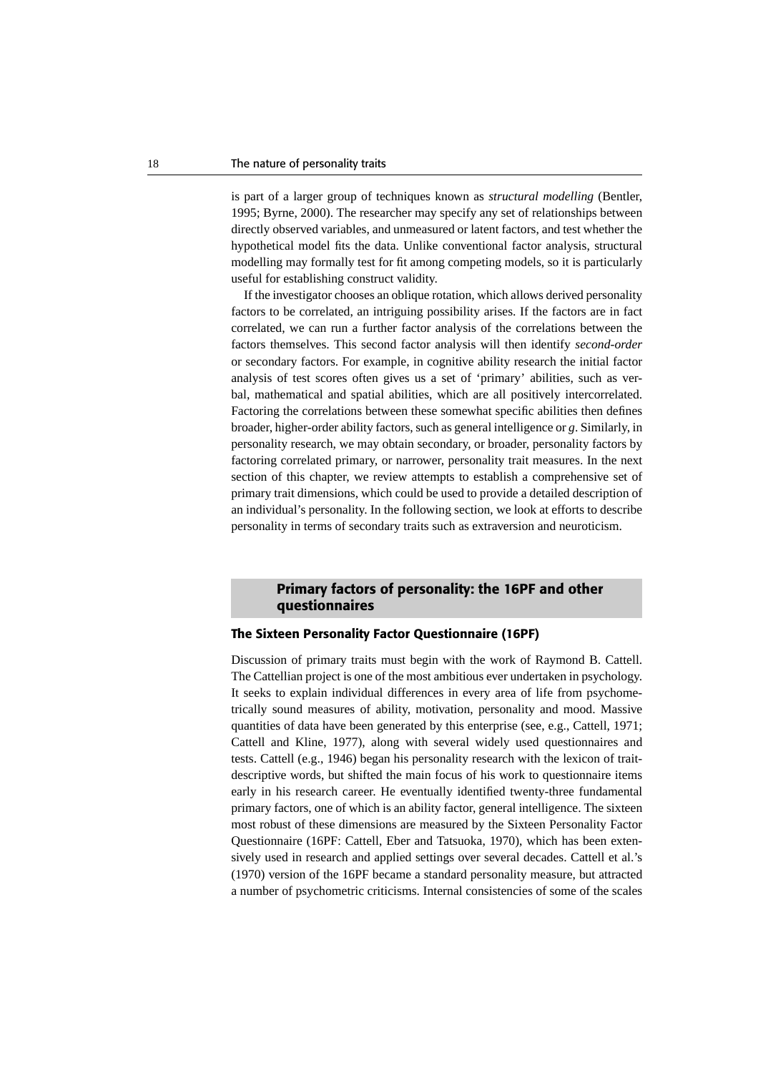is part of a larger group of techniques known as *structural modelling* (Bentler, 1995; Byrne, 2000). The researcher may specify any set of relationships between directly observed variables, and unmeasured or latent factors, and test whether the hypothetical model fits the data. Unlike conventional factor analysis, structural modelling may formally test for fit among competing models, so it is particularly useful for establishing construct validity.

If the investigator chooses an oblique rotation, which allows derived personality factors to be correlated, an intriguing possibility arises. If the factors are in fact correlated, we can run a further factor analysis of the correlations between the factors themselves. This second factor analysis will then identify *second-order* or secondary factors. For example, in cognitive ability research the initial factor analysis of test scores often gives us a set of 'primary' abilities, such as verbal, mathematical and spatial abilities, which are all positively intercorrelated. Factoring the correlations between these somewhat specific abilities then defines broader, higher-order ability factors, such as general intelligence or *g*. Similarly, in personality research, we may obtain secondary, or broader, personality factors by factoring correlated primary, or narrower, personality trait measures. In the next section of this chapter, we review attempts to establish a comprehensive set of primary trait dimensions, which could be used to provide a detailed description of an individual's personality. In the following section, we look at efforts to describe personality in terms of secondary traits such as extraversion and neuroticism.

#### **Primary factors of personality: the 16PF and other questionnaires**

#### **The Sixteen Personality Factor Questionnaire (16PF)**

Discussion of primary traits must begin with the work of Raymond B. Cattell. The Cattellian project is one of the most ambitious ever undertaken in psychology. It seeks to explain individual differences in every area of life from psychometrically sound measures of ability, motivation, personality and mood. Massive quantities of data have been generated by this enterprise (see, e.g., Cattell, 1971; Cattell and Kline, 1977), along with several widely used questionnaires and tests. Cattell (e.g., 1946) began his personality research with the lexicon of traitdescriptive words, but shifted the main focus of his work to questionnaire items early in his research career. He eventually identified twenty-three fundamental primary factors, one of which is an ability factor, general intelligence. The sixteen most robust of these dimensions are measured by the Sixteen Personality Factor Questionnaire (16PF: Cattell, Eber and Tatsuoka, 1970), which has been extensively used in research and applied settings over several decades. Cattell et al.'s (1970) version of the 16PF became a standard personality measure, but attracted a number of psychometric criticisms. Internal consistencies of some of the scales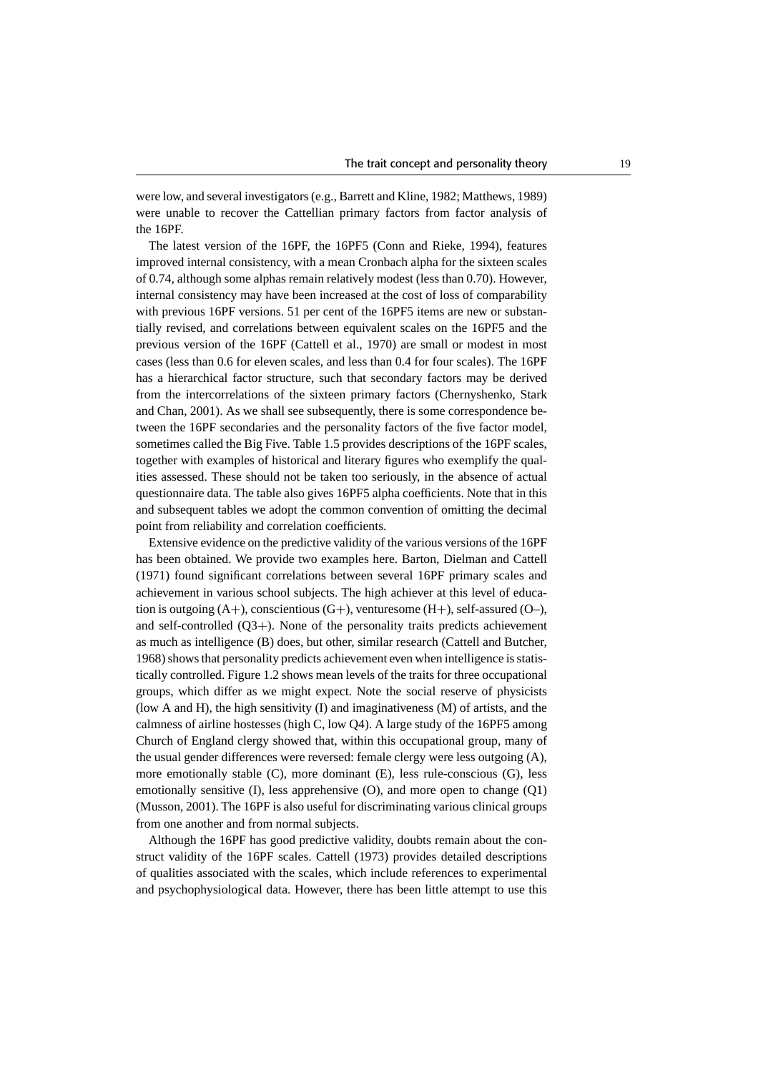were low, and several investigators (e.g., Barrett and Kline, 1982; Matthews, 1989) were unable to recover the Cattellian primary factors from factor analysis of the 16PF.

The latest version of the 16PF, the 16PF5 (Conn and Rieke, 1994), features improved internal consistency, with a mean Cronbach alpha for the sixteen scales of 0.74, although some alphas remain relatively modest (less than 0.70). However, internal consistency may have been increased at the cost of loss of comparability with previous 16PF versions. 51 per cent of the 16PF5 items are new or substantially revised, and correlations between equivalent scales on the 16PF5 and the previous version of the 16PF (Cattell et al., 1970) are small or modest in most cases (less than 0.6 for eleven scales, and less than 0.4 for four scales). The 16PF has a hierarchical factor structure, such that secondary factors may be derived from the intercorrelations of the sixteen primary factors (Chernyshenko, Stark and Chan, 2001). As we shall see subsequently, there is some correspondence between the 16PF secondaries and the personality factors of the five factor model, sometimes called the Big Five. Table 1.5 provides descriptions of the 16PF scales, together with examples of historical and literary figures who exemplify the qualities assessed. These should not be taken too seriously, in the absence of actual questionnaire data. The table also gives 16PF5 alpha coefficients. Note that in this and subsequent tables we adopt the common convention of omitting the decimal point from reliability and correlation coefficients.

Extensive evidence on the predictive validity of the various versions of the 16PF has been obtained. We provide two examples here. Barton, Dielman and Cattell (1971) found significant correlations between several 16PF primary scales and achievement in various school subjects. The high achiever at this level of education is outgoing  $(A+)$ , conscientious  $(G+)$ , venturesome  $(H+)$ , self-assured  $(O-)$ , and self-controlled  $(Q3+)$ . None of the personality traits predicts achievement as much as intelligence (B) does, but other, similar research (Cattell and Butcher, 1968) shows that personality predicts achievement even when intelligence is statistically controlled. Figure 1.2 shows mean levels of the traits for three occupational groups, which differ as we might expect. Note the social reserve of physicists (low A and H), the high sensitivity (I) and imaginativeness (M) of artists, and the calmness of airline hostesses (high C, low Q4). A large study of the 16PF5 among Church of England clergy showed that, within this occupational group, many of the usual gender differences were reversed: female clergy were less outgoing (A), more emotionally stable (C), more dominant (E), less rule-conscious (G), less emotionally sensitive (I), less apprehensive (O), and more open to change (Q1) (Musson, 2001). The 16PF is also useful for discriminating various clinical groups from one another and from normal subjects.

Although the 16PF has good predictive validity, doubts remain about the construct validity of the 16PF scales. Cattell (1973) provides detailed descriptions of qualities associated with the scales, which include references to experimental and psychophysiological data. However, there has been little attempt to use this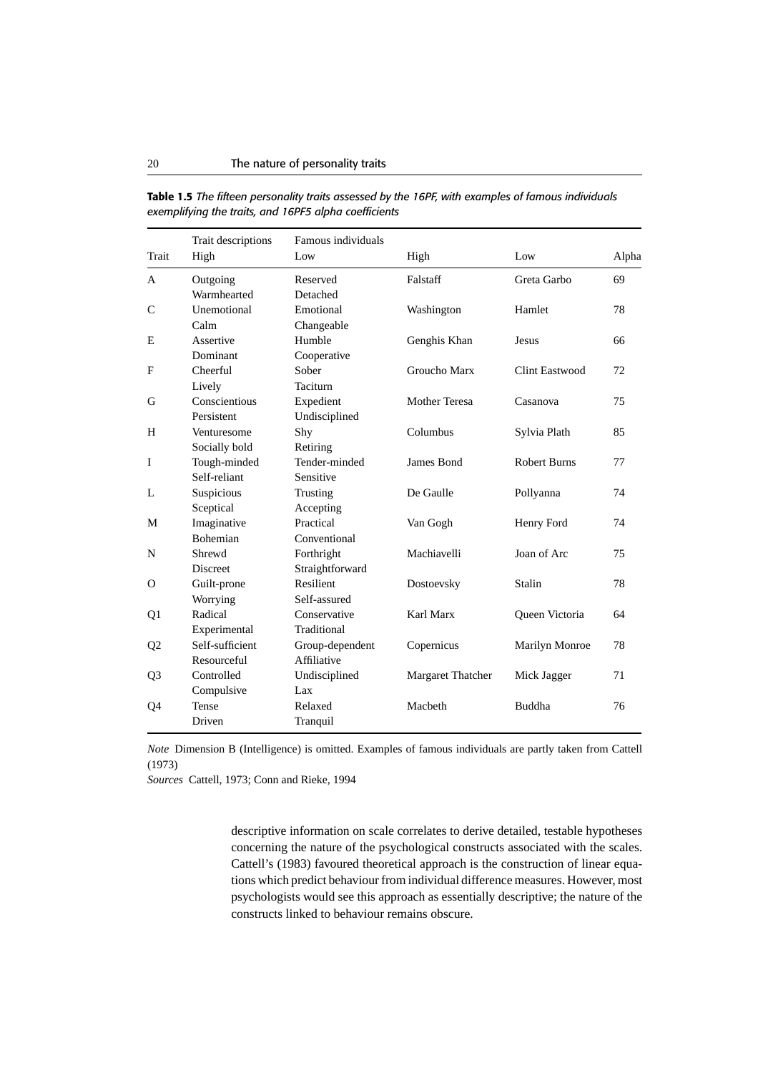|                | Trait descriptions<br>Famous individuals |                 |                      |                     |       |  |  |
|----------------|------------------------------------------|-----------------|----------------------|---------------------|-------|--|--|
| Trait          | High                                     | Low             | High                 | Low                 | Alpha |  |  |
| A              | Outgoing                                 | Reserved        | Falstaff             | Greta Garbo         | 69    |  |  |
|                | Warmhearted                              | Detached        |                      |                     |       |  |  |
| $\mathcal{C}$  | Unemotional                              | Emotional       | Washington           | Hamlet              | 78    |  |  |
|                | Calm                                     | Changeable      |                      |                     |       |  |  |
| E              | Assertive                                | Humble          | Genghis Khan         | Jesus               | 66    |  |  |
|                | Dominant                                 | Cooperative     |                      |                     |       |  |  |
| $\mathbf F$    | Cheerful                                 | Sober           | Groucho Marx         | Clint Eastwood      | 72    |  |  |
|                | Lively                                   | Taciturn        |                      |                     |       |  |  |
| G              | Conscientious                            | Expedient       | <b>Mother Teresa</b> | Casanova            | 75    |  |  |
|                | Persistent                               | Undisciplined   |                      |                     |       |  |  |
| H              | Venturesome                              | Shy             | Columbus             | Sylvia Plath        | 85    |  |  |
|                | Socially bold                            | Retiring        |                      |                     |       |  |  |
| I              | Tough-minded                             | Tender-minded   | James Bond           | <b>Robert Burns</b> | 77    |  |  |
|                | Self-reliant                             | Sensitive       |                      |                     |       |  |  |
| L              | Suspicious                               | Trusting        | De Gaulle            | Pollyanna           | 74    |  |  |
|                | Sceptical                                | Accepting       |                      |                     |       |  |  |
| М              | Imaginative                              | Practical       | Van Gogh             | Henry Ford          | 74    |  |  |
|                | <b>Bohemian</b>                          | Conventional    |                      |                     |       |  |  |
| N              | Shrewd                                   | Forthright      | Machiavelli          | Joan of Arc         | 75    |  |  |
|                | Discreet                                 | Straightforward |                      |                     |       |  |  |
| O              | Guilt-prone                              | Resilient       | Dostoevsky           | Stalin              | 78    |  |  |
|                | Worrying                                 | Self-assured    |                      |                     |       |  |  |
| Q1             | Radical                                  | Conservative    | Karl Marx            | Queen Victoria      | 64    |  |  |
|                | Experimental                             | Traditional     |                      |                     |       |  |  |
| Q <sub>2</sub> | Self-sufficient                          | Group-dependent | Copernicus           | Marilyn Monroe      | 78    |  |  |
|                | Resourceful                              | Affiliative     |                      |                     |       |  |  |
| Q3             | Controlled                               | Undisciplined   | Margaret Thatcher    | Mick Jagger         | 71    |  |  |
|                | Compulsive                               | Lax             |                      |                     |       |  |  |
| Q4             | Tense                                    | Relaxed         | Macheth              | Buddha              | 76    |  |  |
|                | Driven                                   | Tranquil        |                      |                     |       |  |  |

**Table 1.5** *The fifteen personality traits assessed by the 16PF, with examples of famous individuals exemplifying the traits, and 16PF5 alpha coefficients*

*Note* Dimension B (Intelligence) is omitted. Examples of famous individuals are partly taken from Cattell (1973)

*Sources* Cattell, 1973; Conn and Rieke, 1994

descriptive information on scale correlates to derive detailed, testable hypotheses concerning the nature of the psychological constructs associated with the scales. Cattell's (1983) favoured theoretical approach is the construction of linear equations which predict behaviour from individual difference measures. However, most psychologists would see this approach as essentially descriptive; the nature of the constructs linked to behaviour remains obscure.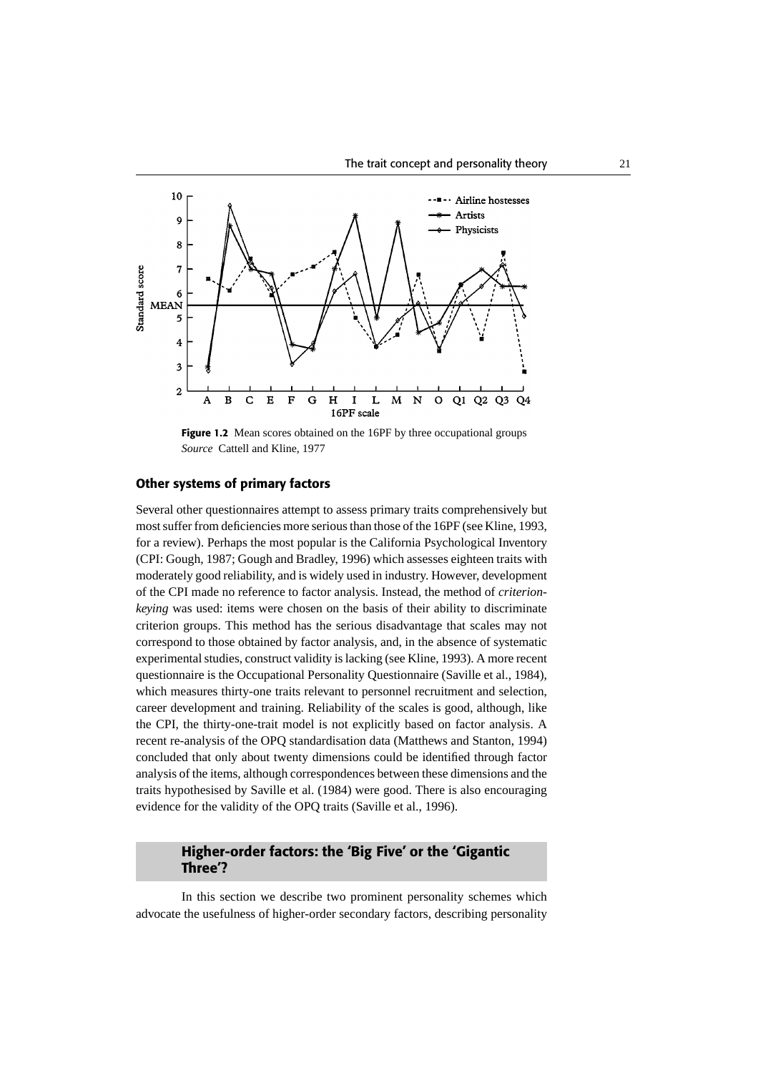

**Figure 1.2** Mean scores obtained on the 16PF by three occupational groups *Source* Cattell and Kline, 1977

#### **Other systems of primary factors**

Several other questionnaires attempt to assess primary traits comprehensively but most suffer from deficiencies more serious than those of the 16PF (see Kline, 1993, for a review). Perhaps the most popular is the California Psychological Inventory (CPI: Gough, 1987; Gough and Bradley, 1996) which assesses eighteen traits with moderately good reliability, and is widely used in industry. However, development of the CPI made no reference to factor analysis. Instead, the method of *criterionkeying* was used: items were chosen on the basis of their ability to discriminate criterion groups. This method has the serious disadvantage that scales may not correspond to those obtained by factor analysis, and, in the absence of systematic experimental studies, construct validity is lacking (see Kline, 1993). A more recent questionnaire is the Occupational Personality Questionnaire (Saville et al., 1984), which measures thirty-one traits relevant to personnel recruitment and selection, career development and training. Reliability of the scales is good, although, like the CPI, the thirty-one-trait model is not explicitly based on factor analysis. A recent re-analysis of the OPQ standardisation data (Matthews and Stanton, 1994) concluded that only about twenty dimensions could be identified through factor analysis of the items, although correspondences between these dimensions and the traits hypothesised by Saville et al. (1984) were good. There is also encouraging evidence for the validity of the OPQ traits (Saville et al., 1996).

#### **Higher-order factors: the 'Big Five' or the 'Gigantic Three'?**

In this section we describe two prominent personality schemes which advocate the usefulness of higher-order secondary factors, describing personality